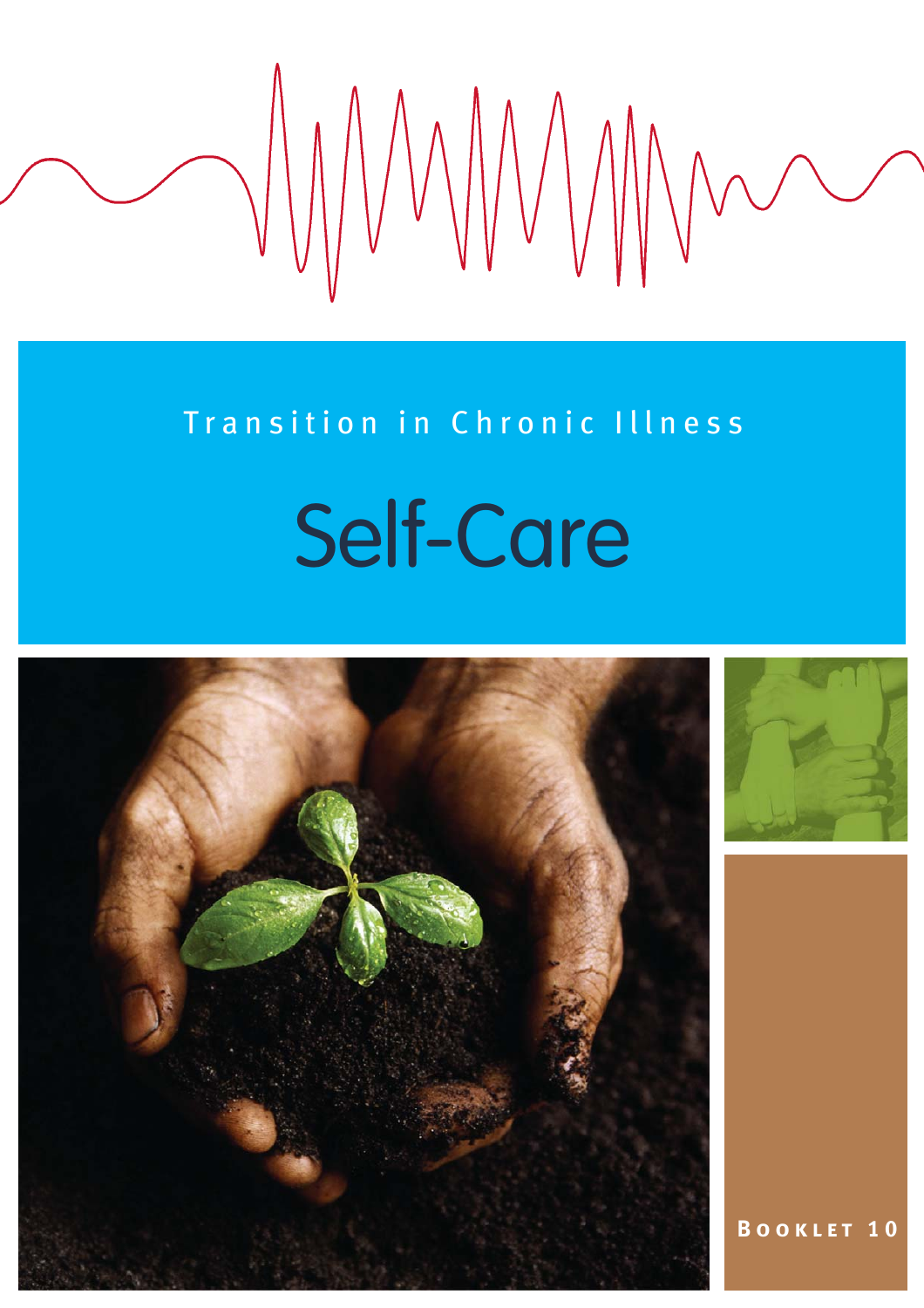# WWWWWW

# Transition in Chronic Illness

# Self-Care

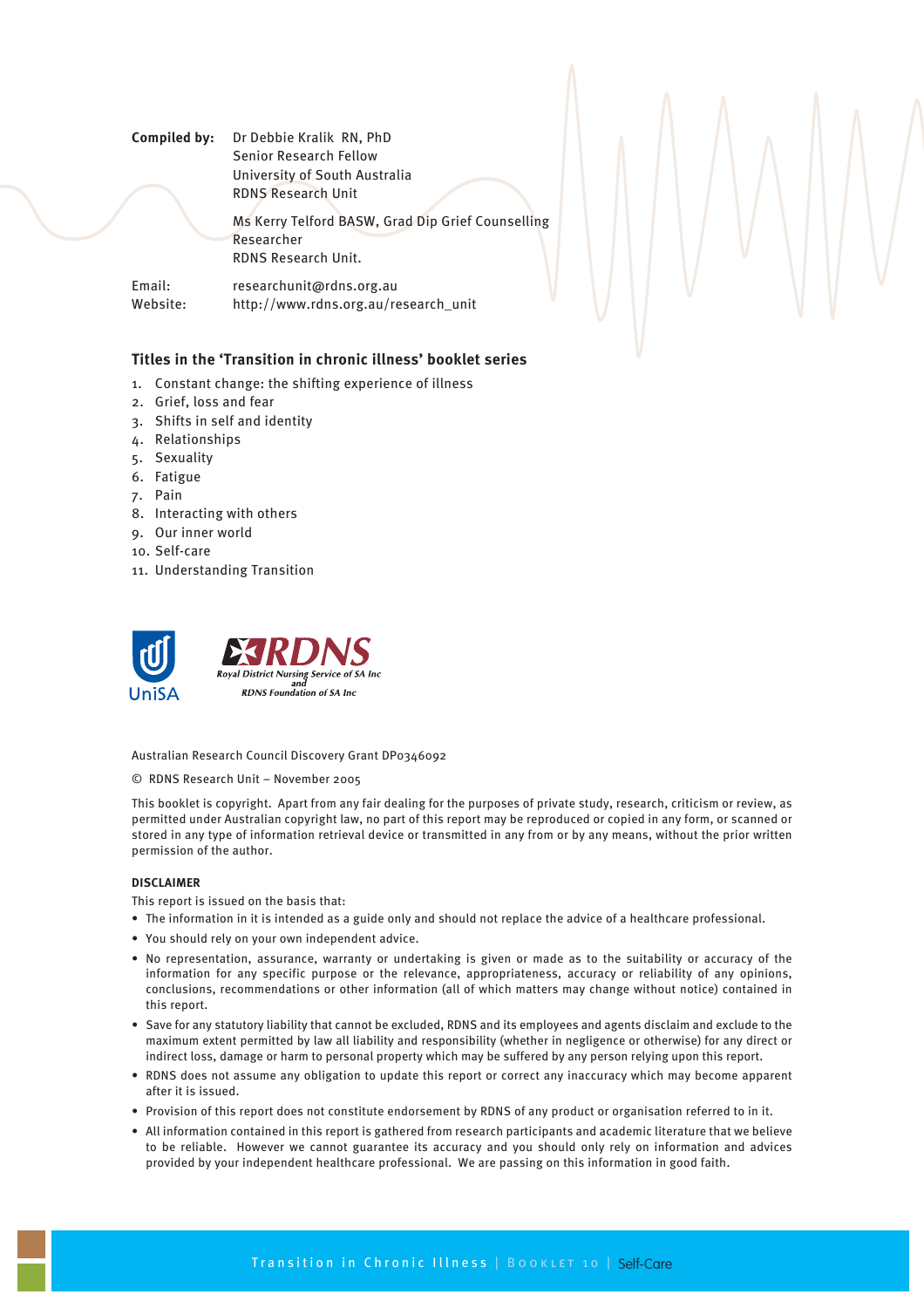**Compiled by:** Dr Debbie Kralik RN, PhD Senior Research Fellow University of South Australia RDNS Research Unit Ms Kerry Telford BASW, Grad Dip Grief Counselling

> Researcher RDNS Research Unit.

Email: researchunit@rdns.org.au Website: http://www.rdns.org.au/research\_unit

#### **Titles in the 'Transition in chronic illness' booklet series**

- 1. Constant change: the shifting experience of illness
- 2. Grief, loss and fear
- 3. Shifts in self and identity
- 4. Relationships
- 5. Sexuality
- 6. Fatigue
- 7. Pain
- 8. Interacting with others
- 9. Our inner world
- 10. Self-care
- 11. Understanding Transition



Australian Research Council Discovery Grant DP0346092

© RDNS Research Unit – November 2005

This booklet is copyright. Apart from any fair dealing for the purposes of private study, research, criticism or review, as permitted under Australian copyright law, no part of this report may be reproduced or copied in any form, or scanned or stored in any type of information retrieval device or transmitted in any from or by any means, without the prior written permission of the author.

#### **DISCLAIMER**

This report is issued on the basis that:

- The information in it is intended as a guide only and should not replace the advice of a healthcare professional.
- You should rely on your own independent advice.
- No representation, assurance, warranty or undertaking is given or made as to the suitability or accuracy of the information for any specific purpose or the relevance, appropriateness, accuracy or reliability of any opinions, conclusions, recommendations or other information (all of which matters may change without notice) contained in this report.
- Save for any statutory liability that cannot be excluded, RDNS and its employees and agents disclaim and exclude to the maximum extent permitted by law all liability and responsibility (whether in negligence or otherwise) for any direct or indirect loss, damage or harm to personal property which may be suffered by any person relying upon this report.
- RDNS does not assume any obligation to update this report or correct any inaccuracy which may become apparent after it is issued.
- Provision of this report does not constitute endorsement by RDNS of any product or organisation referred to in it.
- All information contained in this report is gathered from research participants and academic literature that we believe to be reliable. However we cannot guarantee its accuracy and you should only rely on information and advices provided by your independent healthcare professional. We are passing on this information in good faith.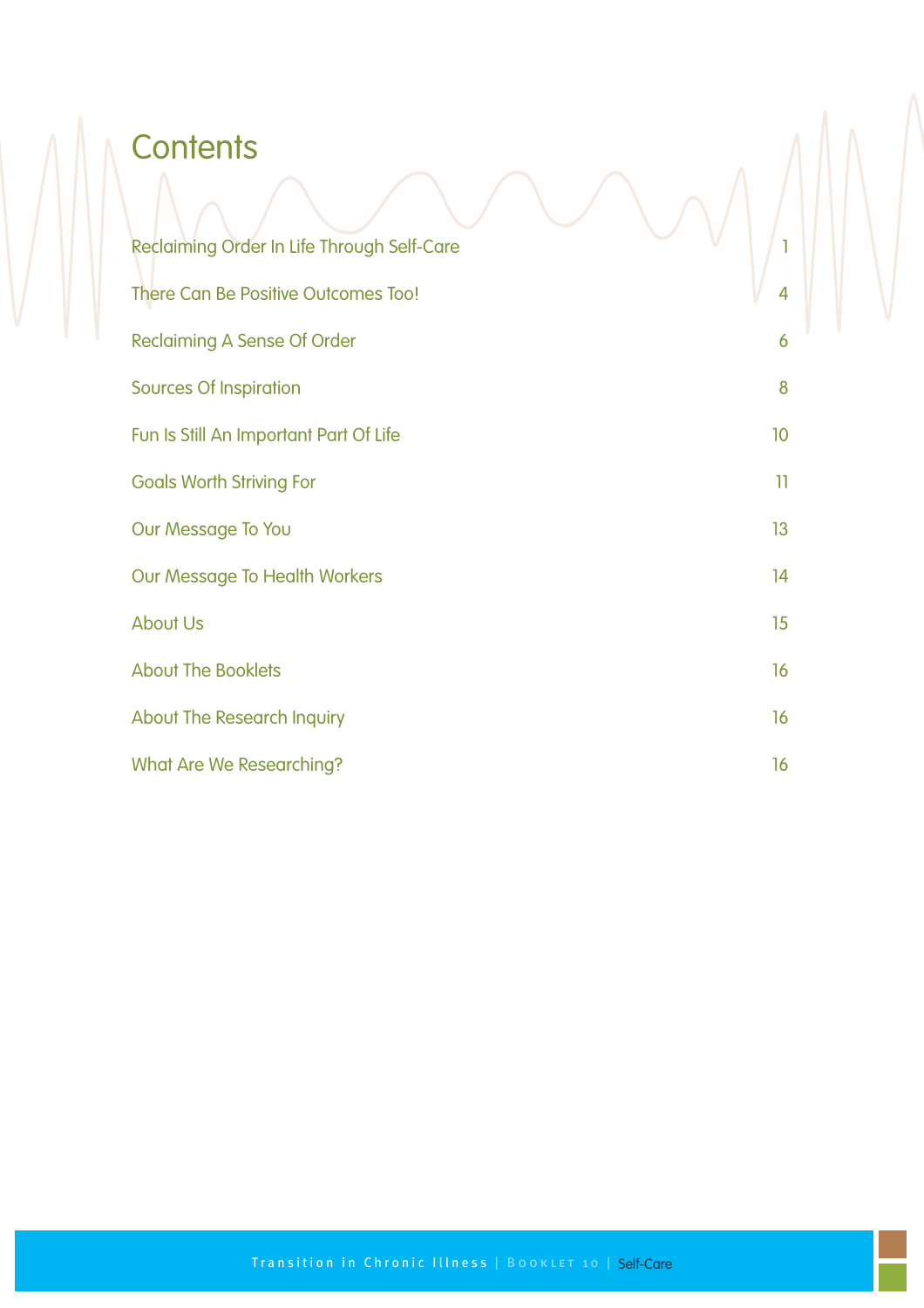# **Contents**

| Reclaiming Order In Life Through Self-Care |                         |
|--------------------------------------------|-------------------------|
| There Can Be Positive Outcomes Too!        | 4                       |
| <b>Reclaiming A Sense Of Order</b>         | 6                       |
| <b>Sources Of Inspiration</b>              | 8                       |
| Fun Is Still An Important Part Of Life     | 10                      |
| <b>Goals Worth Striving For</b>            | $\overline{\mathbf{1}}$ |
| Our Message To You                         | 13                      |
| Our Message To Health Workers              | 14                      |
| <b>About Us</b>                            | 15                      |
| <b>About The Booklets</b>                  | 16                      |
| <b>About The Research Inquiry</b>          | 16                      |
| <b>What Are We Researching?</b>            | 16                      |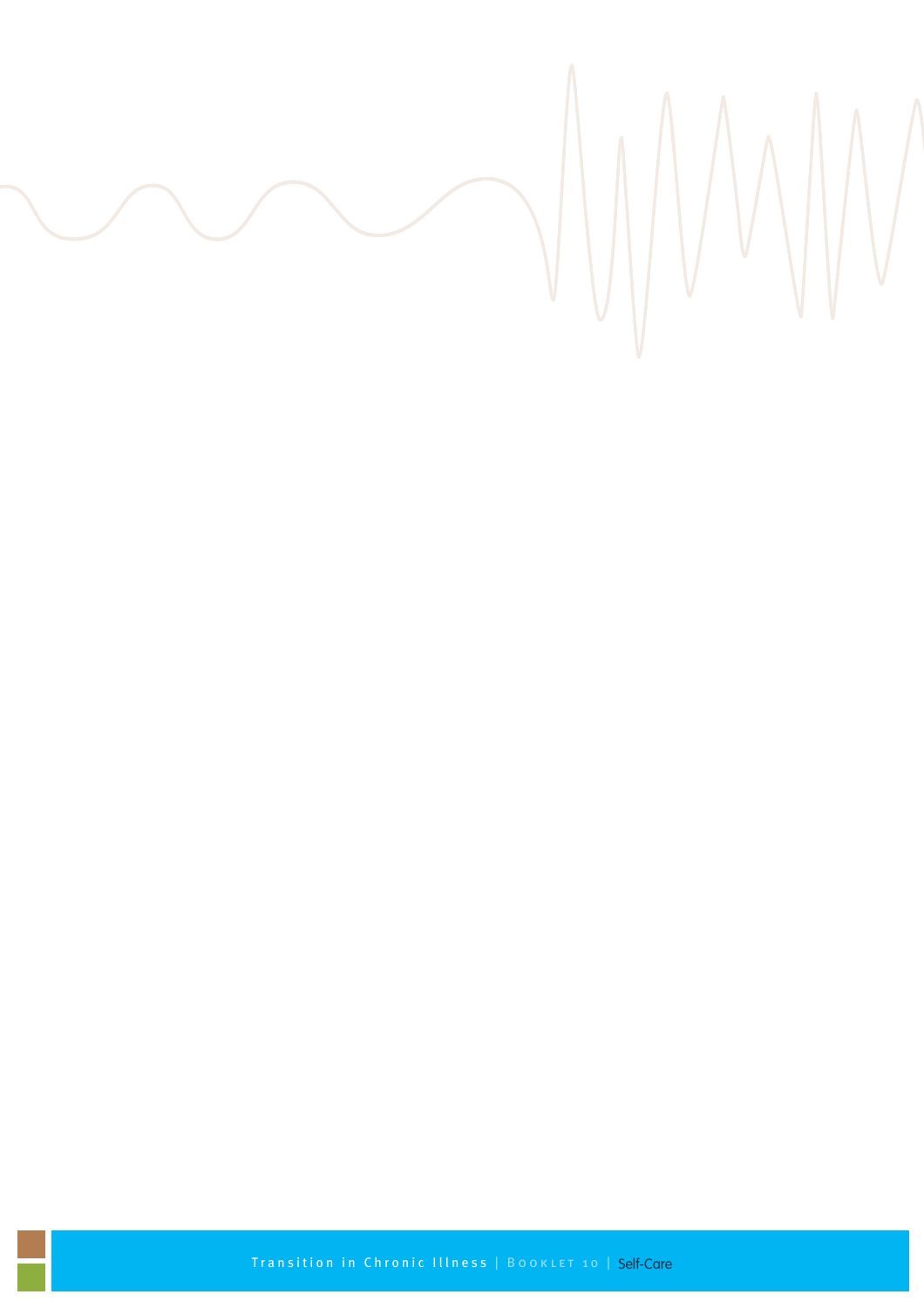

Transition in Chronic Illness | Booklet 10 | Self-Care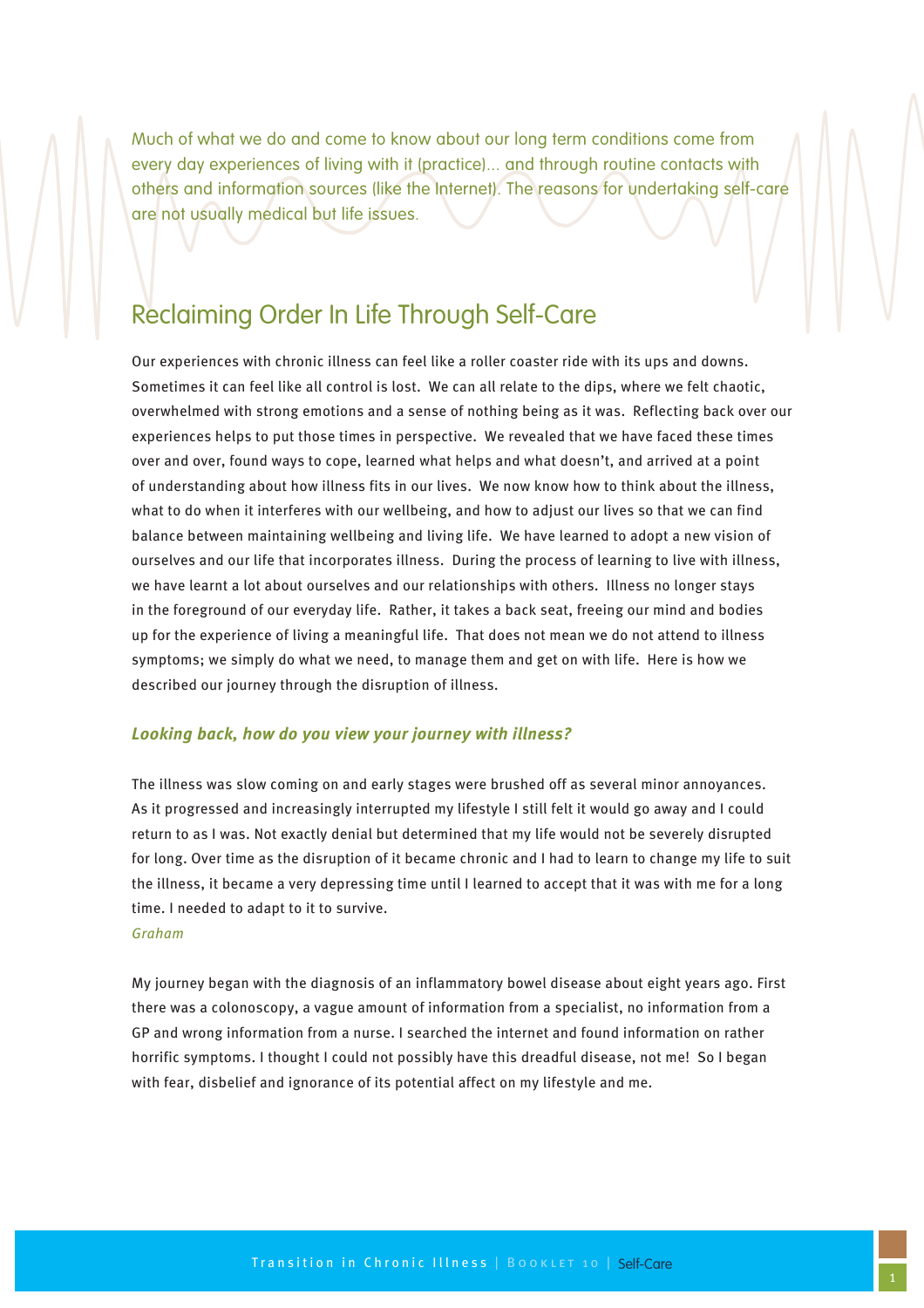Much of what we do and come to know about our long term conditions come from every day experiences of living with it (practice)... and through routine contacts with others and information sources (like the Internet). The reasons for undertaking self-care are not usually medical but life issues.

# Reclaiming Order In Life Through Self-Care

Our experiences with chronic illness can feel like a roller coaster ride with its ups and downs. Sometimes it can feel like all control is lost. We can all relate to the dips, where we felt chaotic, overwhelmed with strong emotions and a sense of nothing being as it was. Reflecting back over our experiences helps to put those times in perspective. We revealed that we have faced these times over and over, found ways to cope, learned what helps and what doesn't, and arrived at a point of understanding about how illness fits in our lives. We now know how to think about the illness, what to do when it interferes with our wellbeing, and how to adjust our lives so that we can find balance between maintaining wellbeing and living life. We have learned to adopt a new vision of ourselves and our life that incorporates illness. During the process of learning to live with illness, we have learnt a lot about ourselves and our relationships with others. Illness no longer stays in the foreground of our everyday life. Rather, it takes a back seat, freeing our mind and bodies up for the experience of living a meaningful life. That does not mean we do not attend to illness symptoms; we simply do what we need, to manage them and get on with life. Here is how we described our journey through the disruption of illness.

#### *Looking back, how do you view your journey with illness?*

The illness was slow coming on and early stages were brushed off as several minor annoyances. As it progressed and increasingly interrupted my lifestyle I still felt it would go away and I could return to as I was. Not exactly denial but determined that my life would not be severely disrupted for long. Over time as the disruption of it became chronic and I had to learn to change my life to suit the illness, it became a very depressing time until I learned to accept that it was with me for a long time. I needed to adapt to it to survive.

### *Graham*

My journey began with the diagnosis of an inflammatory bowel disease about eight years ago. First there was a colonoscopy, a vague amount of information from a specialist, no information from a GP and wrong information from a nurse. I searched the internet and found information on rather horrific symptoms. I thought I could not possibly have this dreadful disease, not me! So I began with fear, disbelief and ignorance of its potential affect on my lifestyle and me.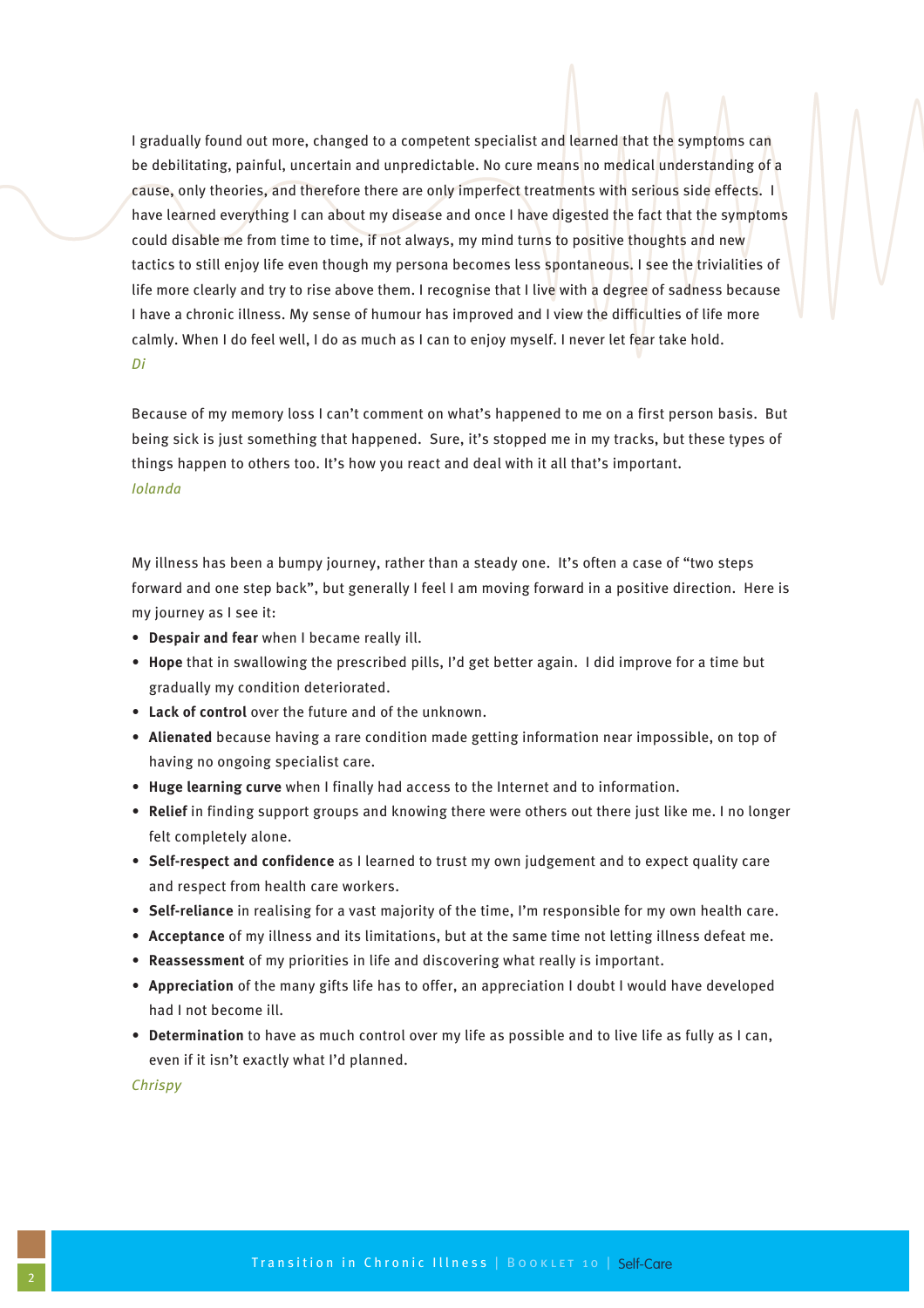I gradually found out more, changed to a competent specialist and learned that the symptoms can be debilitating, painful, uncertain and unpredictable. No cure means no medical understanding of a cause, only theories, and therefore there are only imperfect treatments with serious side effects. I have learned everything I can about my disease and once I have digested the fact that the symptoms could disable me from time to time, if not always, my mind turns to positive thoughts and new tactics to still enjoy life even though my persona becomes less spontaneous. I see the trivialities of life more clearly and try to rise above them. I recognise that I live with a degree of sadness because I have a chronic illness. My sense of humour has improved and I view the difficulties of life more calmly. When I do feel well, I do as much as I can to enjoy myself. I never let fear take hold. *Di*

Because of my memory loss I can't comment on what's happened to me on a first person basis. But being sick is just something that happened. Sure, it's stopped me in my tracks, but these types of things happen to others too. It's how you react and deal with it all that's important. *Iolanda*

My illness has been a bumpy journey, rather than a steady one. It's often a case of "two steps forward and one step back", but generally I feel I am moving forward in a positive direction. Here is my journey as I see it:

- **Despair and fear** when I became really ill.
- **Hope** that in swallowing the prescribed pills, I'd get better again. I did improve for a time but gradually my condition deteriorated.
- **Lack of control** over the future and of the unknown.
- **Alienated** because having a rare condition made getting information near impossible, on top of having no ongoing specialist care.
- **Huge learning curve** when I finally had access to the Internet and to information.
- **Relief** in finding support groups and knowing there were others out there just like me. I no longer felt completely alone.
- **Self-respect and confidence** as I learned to trust my own judgement and to expect quality care and respect from health care workers.
- **Self-reliance** in realising for a vast majority of the time, I'm responsible for my own health care.
- **Acceptance** of my illness and its limitations, but at the same time not letting illness defeat me.
- **Reassessment** of my priorities in life and discovering what really is important.
- **Appreciation** of the many gifts life has to offer, an appreciation I doubt I would have developed had I not become ill.
- **Determination** to have as much control over my life as possible and to live life as fully as I can, even if it isn't exactly what I'd planned.

*Chrispy*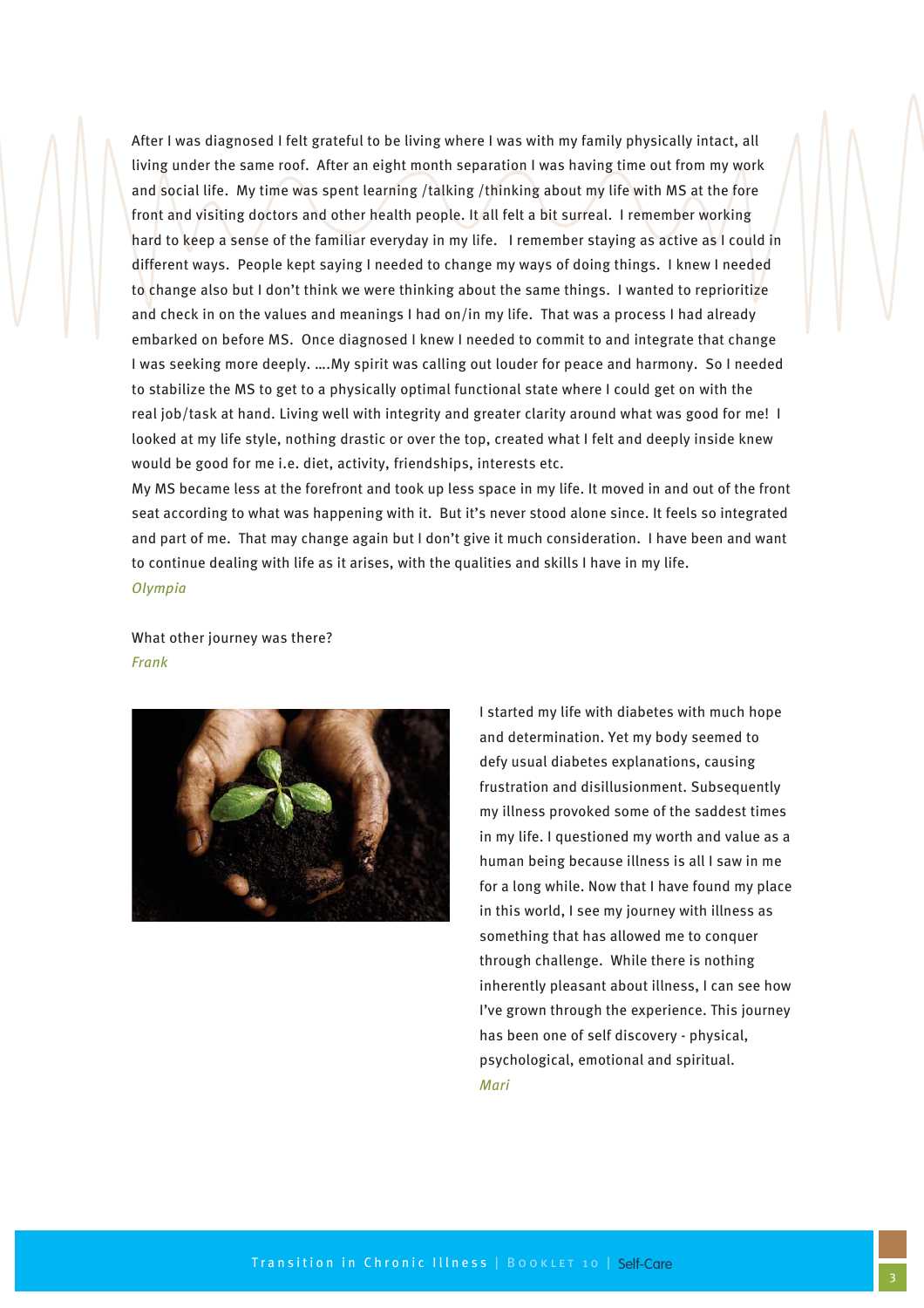After I was diagnosed I felt grateful to be living where I was with my family physically intact, all living under the same roof. After an eight month separation I was having time out from my work and social life. My time was spent learning /talking /thinking about my life with MS at the fore front and visiting doctors and other health people. It all felt a bit surreal. I remember working hard to keep a sense of the familiar everyday in my life. I remember staying as active as I could in different ways. People kept saying I needed to change my ways of doing things. I knew I needed to change also but I don't think we were thinking about the same things. I wanted to reprioritize and check in on the values and meanings I had on/in my life. That was a process I had already embarked on before MS. Once diagnosed I knew I needed to commit to and integrate that change I was seeking more deeply. ….My spirit was calling out louder for peace and harmony. So I needed to stabilize the MS to get to a physically optimal functional state where I could get on with the real job/task at hand. Living well with integrity and greater clarity around what was good for me! I looked at my life style, nothing drastic or over the top, created what I felt and deeply inside knew would be good for me i.e. diet, activity, friendships, interests etc.

My MS became less at the forefront and took up less space in my life. It moved in and out of the front seat according to what was happening with it. But it's never stood alone since. It feels so integrated and part of me. That may change again but I don't give it much consideration. I have been and want to continue dealing with life as it arises, with the qualities and skills I have in my life. *Olympia*

What other journey was there? *Frank*



I started my life with diabetes with much hope and determination. Yet my body seemed to defy usual diabetes explanations, causing frustration and disillusionment. Subsequently my illness provoked some of the saddest times in my life. I questioned my worth and value as a human being because illness is all I saw in me for a long while. Now that I have found my place in this world, I see my journey with illness as something that has allowed me to conquer through challenge. While there is nothing inherently pleasant about illness, I can see how I've grown through the experience. This journey has been one of self discovery - physical, psychological, emotional and spiritual. *Mari*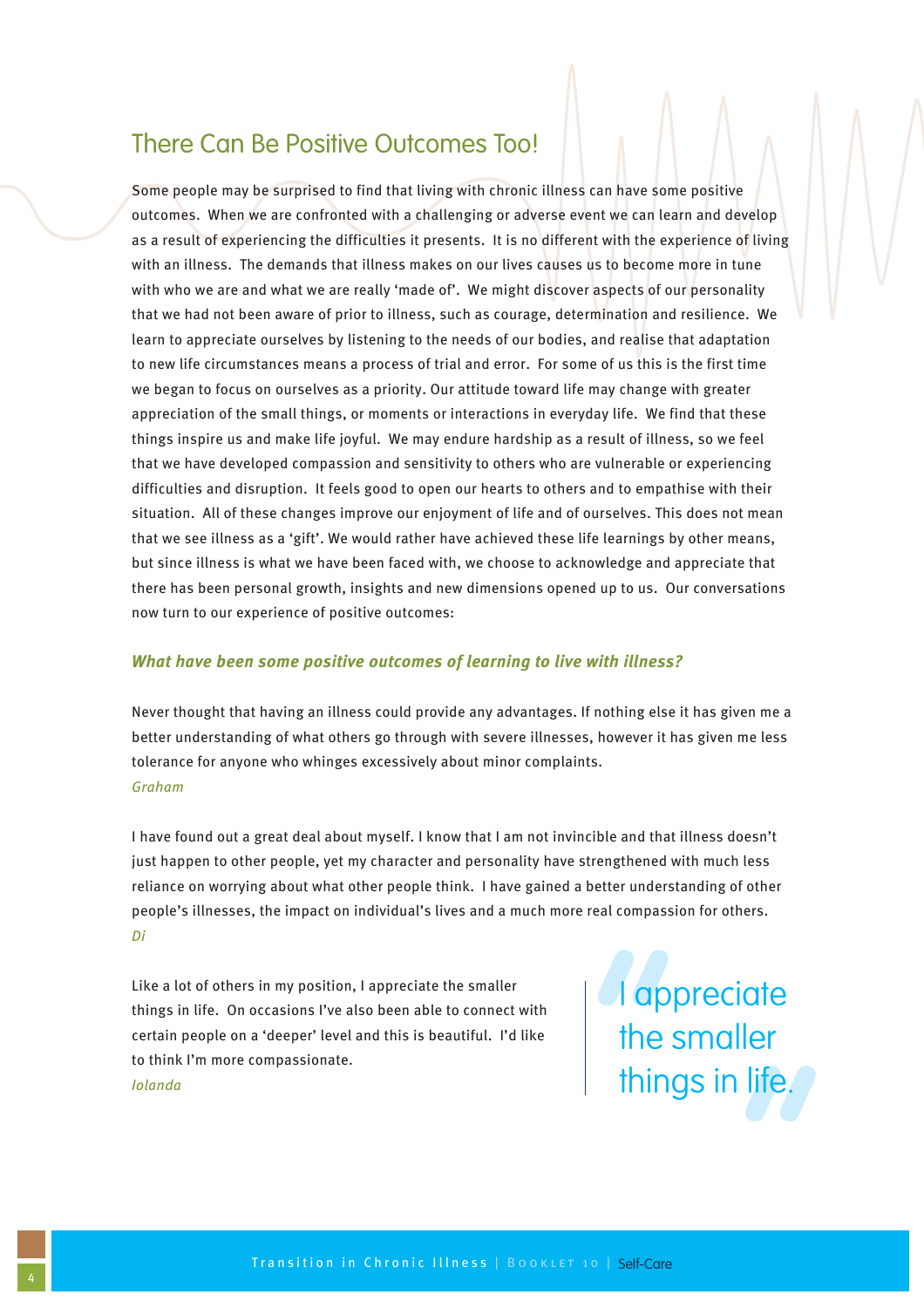# There Can Be Positive Outcomes Too!

Some people may be surprised to find that living with chronic illness can have some positive outcomes. When we are confronted with a challenging or adverse event we can learn and develop as a result of experiencing the difficulties it presents. It is no different with the experience of living with an illness. The demands that illness makes on our lives causes us to become more in tune with who we are and what we are really 'made of'. We might discover aspects of our personality that we had not been aware of prior to illness, such as courage, determination and resilience. We learn to appreciate ourselves by listening to the needs of our bodies, and realise that adaptation to new life circumstances means a process of trial and error. For some of us this is the first time we began to focus on ourselves as a priority. Our attitude toward life may change with greater appreciation of the small things, or moments or interactions in everyday life. We find that these things inspire us and make life joyful. We may endure hardship as a result of illness, so we feel that we have developed compassion and sensitivity to others who are vulnerable or experiencing difficulties and disruption. It feels good to open our hearts to others and to empathise with their situation. All of these changes improve our enjoyment of life and of ourselves. This does not mean that we see illness as a 'gift'. We would rather have achieved these life learnings by other means, but since illness is what we have been faced with, we choose to acknowledge and appreciate that there has been personal growth, insights and new dimensions opened up to us. Our conversations now turn to our experience of positive outcomes:

#### *What have been some positive outcomes of learning to live with illness?*

Never thought that having an illness could provide any advantages. If nothing else it has given me a better understanding of what others go through with severe illnesses, however it has given me less tolerance for anyone who whinges excessively about minor complaints. *Graham*

I have found out a great deal about myself. I know that I am not invincible and that illness doesn't just happen to other people, yet my character and personality have strengthened with much less reliance on worrying about what other people think. I have gained a better understanding of other people's illnesses, the impact on individual's lives and a much more real compassion for others. *Di*

Like a lot of others in my position, I appreciate the smaller things in life. On occasions I've also been able to connect with certain people on a 'deeper' level and this is beautiful. I'd like to think I'm more compassionate. *Iolanda*

I appreciate the smaller things in life.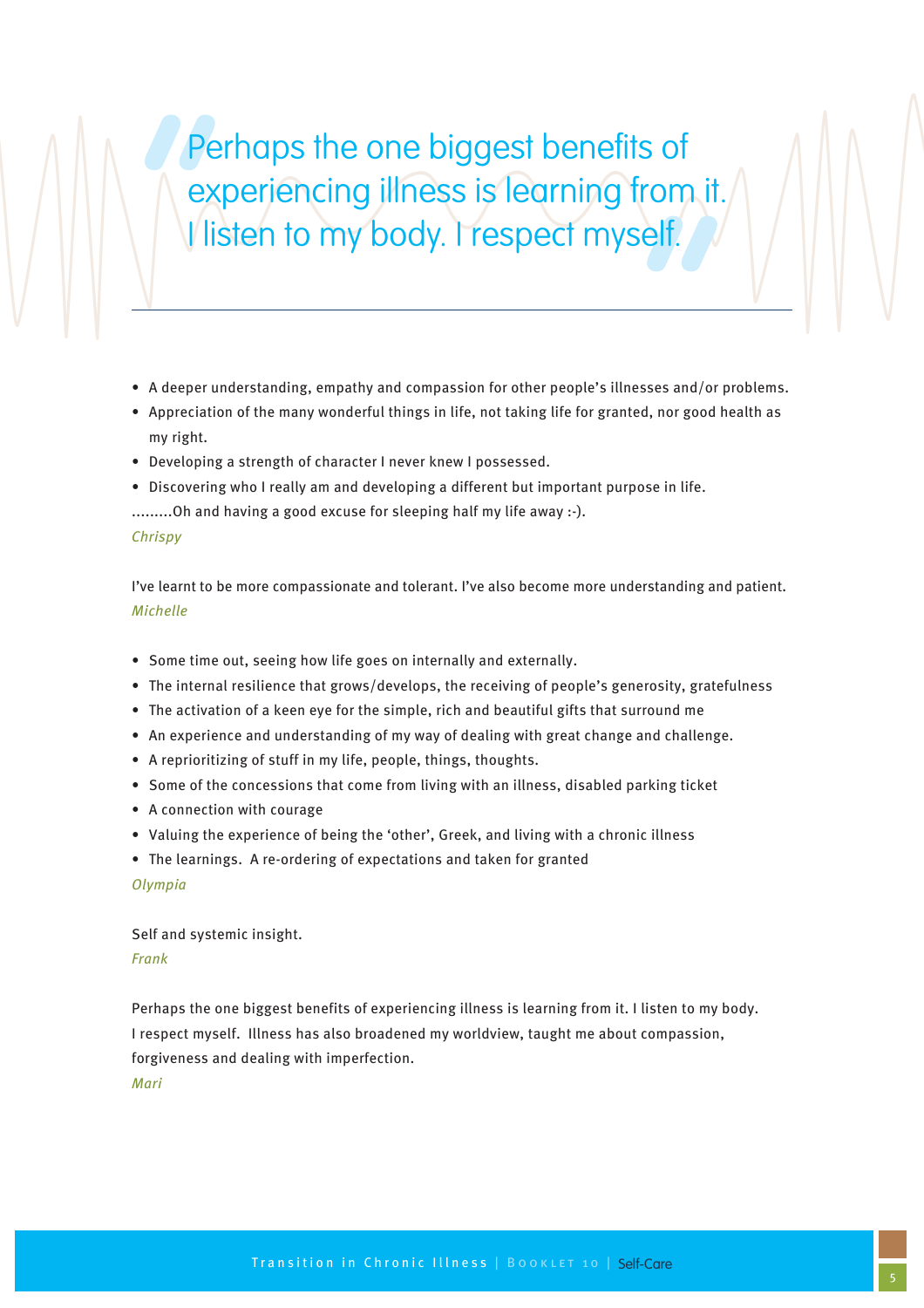Perhaps the one biggest benefits of experiencing illness is learning from it. I listen to my body. I respect myself.

- A deeper understanding, empathy and compassion for other people's illnesses and/or problems.
- Appreciation of the many wonderful things in life, not taking life for granted, nor good health as my right.
- Developing a strength of character I never knew I possessed.
- Discovering who I really am and developing a different but important purpose in life.
- .........Oh and having a good excuse for sleeping half my life away :-).

#### *Chrispy*

I've learnt to be more compassionate and tolerant. I've also become more understanding and patient. *Michelle*

- Some time out, seeing how life goes on internally and externally.
- The internal resilience that grows/develops, the receiving of people's generosity, gratefulness
- The activation of a keen eye for the simple, rich and beautiful gifts that surround me
- An experience and understanding of my way of dealing with great change and challenge.
- A reprioritizing of stuff in my life, people, things, thoughts.
- Some of the concessions that come from living with an illness, disabled parking ticket
- A connection with courage
- Valuing the experience of being the 'other', Greek, and living with a chronic illness
- The learnings. A re-ordering of expectations and taken for granted

#### *Olympia*

Self and systemic insight.

#### *Frank*

Perhaps the one biggest benefits of experiencing illness is learning from it. I listen to my body. I respect myself. Illness has also broadened my worldview, taught me about compassion, forgiveness and dealing with imperfection.

*Mari*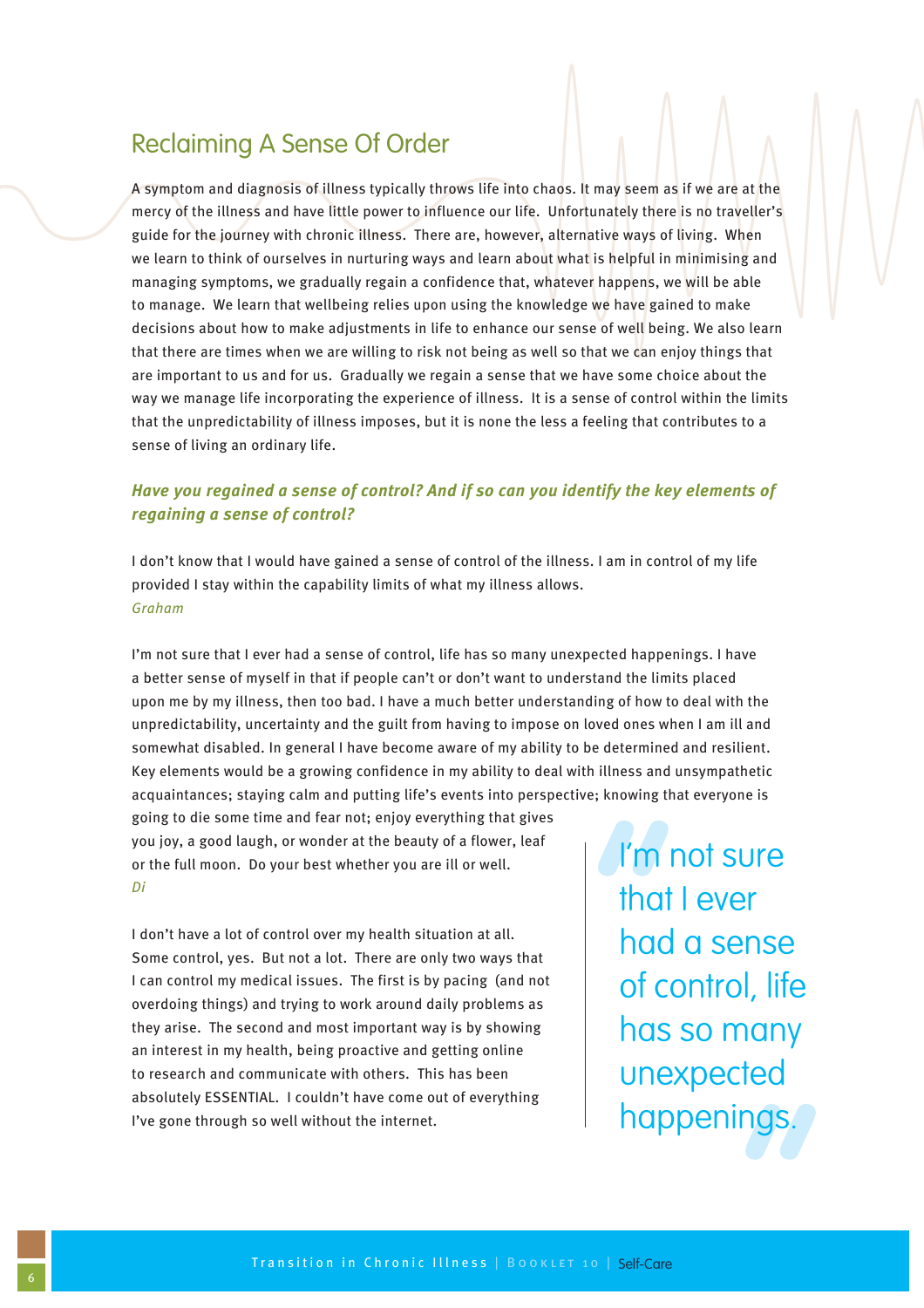# Reclaiming A Sense Of Order

A symptom and diagnosis of illness typically throws life into chaos. It may seem as if we are at the mercy of the illness and have little power to influence our life. Unfortunately there is no traveller's guide for the journey with chronic illness. There are, however, alternative ways of living. When we learn to think of ourselves in nurturing ways and learn about what is helpful in minimising and managing symptoms, we gradually regain a confidence that, whatever happens, we will be able to manage. We learn that wellbeing relies upon using the knowledge we have gained to make decisions about how to make adjustments in life to enhance our sense of well being. We also learn that there are times when we are willing to risk not being as well so that we can enjoy things that are important to us and for us. Gradually we regain a sense that we have some choice about the way we manage life incorporating the experience of illness. It is a sense of control within the limits that the unpredictability of illness imposes, but it is none the less a feeling that contributes to a sense of living an ordinary life.

# *Have you regained a sense of control? And if so can you identify the key elements of regaining a sense of control?*

I don't know that I would have gained a sense of control of the illness. I am in control of my life provided I stay within the capability limits of what my illness allows. *Graham*

I'm not sure that I ever had a sense of control, life has so many unexpected happenings. I have a better sense of myself in that if people can't or don't want to understand the limits placed upon me by my illness, then too bad. I have a much better understanding of how to deal with the unpredictability, uncertainty and the guilt from having to impose on loved ones when I am ill and somewhat disabled. In general I have become aware of my ability to be determined and resilient. Key elements would be a growing confidence in my ability to deal with illness and unsympathetic acquaintances; staying calm and putting life's events into perspective; knowing that everyone is

going to die some time and fear not; enjoy everything that gives you joy, a good laugh, or wonder at the beauty of a flower, leaf or the full moon. Do your best whether you are ill or well. *Di*

I don't have a lot of control over my health situation at all. Some control, yes. But not a lot. There are only two ways that I can control my medical issues. The first is by pacing (and not overdoing things) and trying to work around daily problems as they arise. The second and most important way is by showing an interest in my health, being proactive and getting online to research and communicate with others. This has been absolutely ESSENTIAL. I couldn't have come out of everything I've gone through so well without the internet.

I'm not sure that I ever had a sense of control, life has so many unexpected happenings.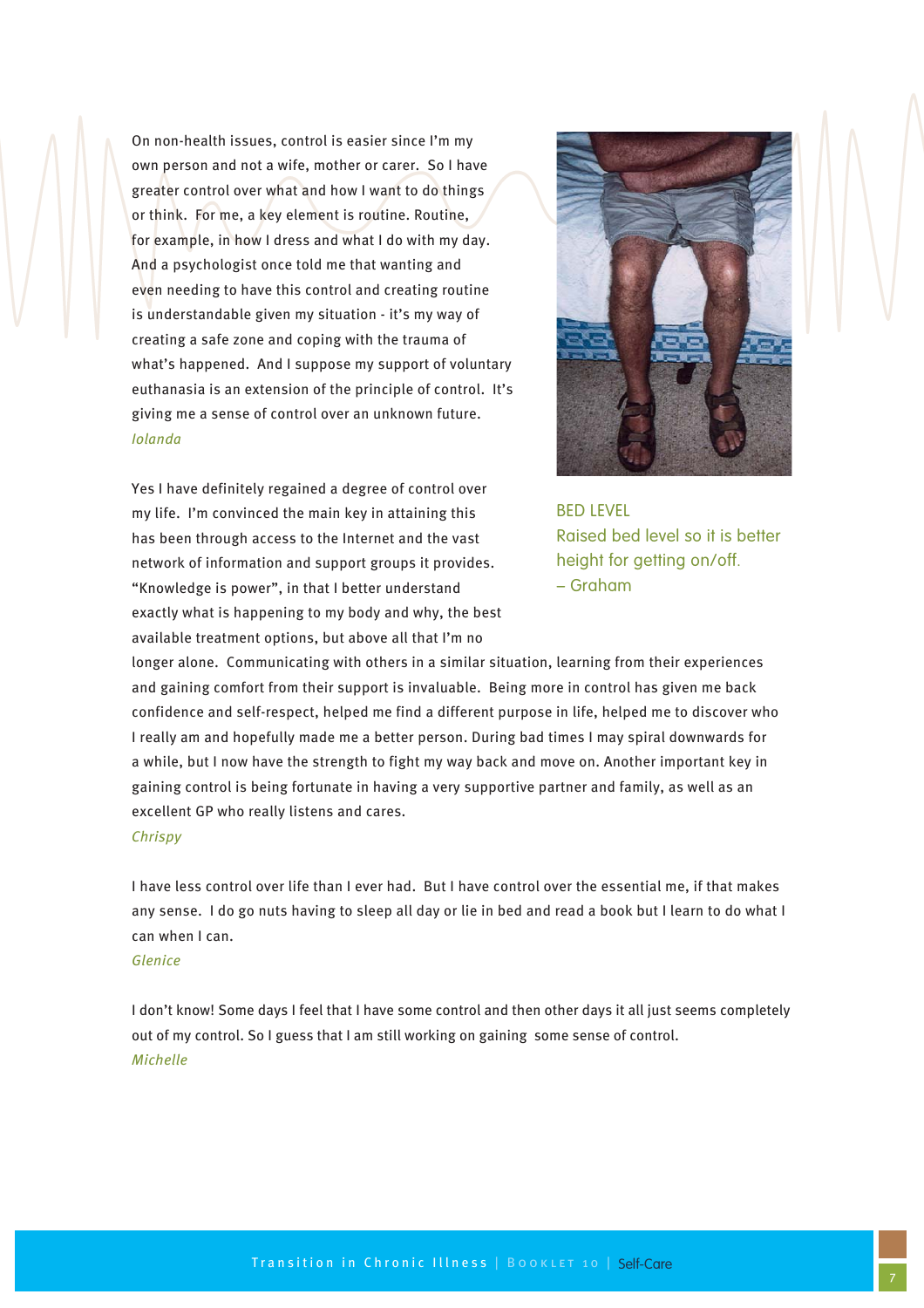On non-health issues, control is easier since I'm my own person and not a wife, mother or carer. So I have greater control over what and how I want to do things or think. For me, a key element is routine. Routine, for example, in how I dress and what I do with my day. And a psychologist once told me that wanting and even needing to have this control and creating routine is understandable given my situation - it's my way of creating a safe zone and coping with the trauma of what's happened. And I suppose my support of voluntary euthanasia is an extension of the principle of control. It's giving me a sense of control over an unknown future. *Iolanda*

Yes I have definitely regained a degree of control over my life. I'm convinced the main key in attaining this has been through access to the Internet and the vast network of information and support groups it provides. "Knowledge is power", in that I better understand exactly what is happening to my body and why, the best available treatment options, but above all that I'm no



BED LEVEL Raised bed level so it is better height for getting on/off. – Graham

longer alone. Communicating with others in a similar situation, learning from their experiences and gaining comfort from their support is invaluable. Being more in control has given me back confidence and self-respect, helped me find a different purpose in life, helped me to discover who I really am and hopefully made me a better person. During bad times I may spiral downwards for a while, but I now have the strength to fight my way back and move on. Another important key in gaining control is being fortunate in having a very supportive partner and family, as well as an excellent GP who really listens and cares.

#### *Chrispy*

I have less control over life than I ever had. But I have control over the essential me, if that makes any sense. I do go nuts having to sleep all day or lie in bed and read a book but I learn to do what I can when I can.

#### *Glenice*

I don't know! Some days I feel that I have some control and then other days it all just seems completely out of my control. So I guess that I am still working on gaining some sense of control. *Michelle*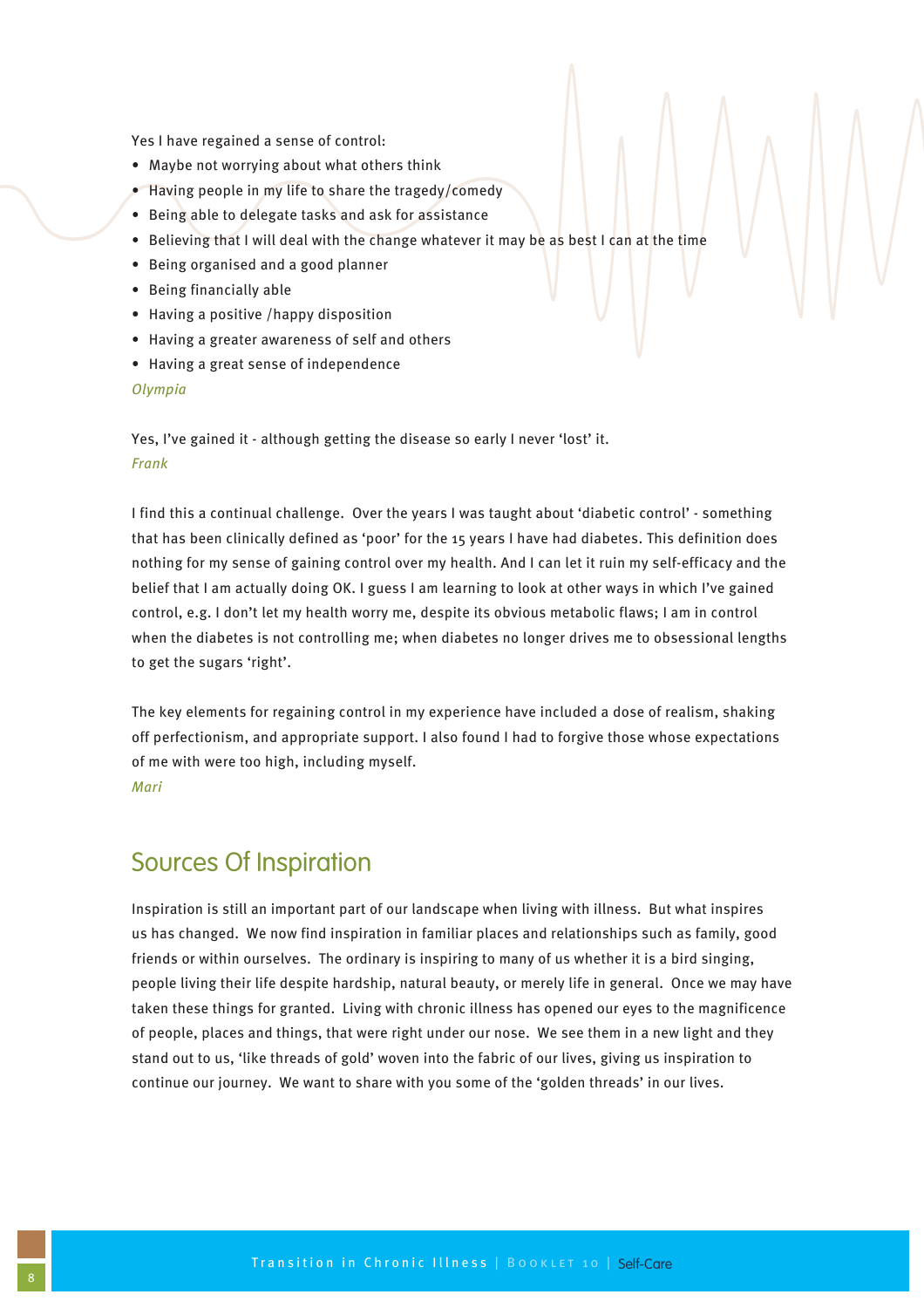Yes I have regained a sense of control:

- Maybe not worrying about what others think
- Having people in my life to share the tragedy/comedy
- Being able to delegate tasks and ask for assistance
- Believing that I will deal with the change whatever it may be as best I can at the time
- Being organised and a good planner
- Being financially able
- Having a positive /happy disposition
- Having a greater awareness of self and others
- Having a great sense of independence

#### *Olympia*

Yes, I've gained it - although getting the disease so early I never 'lost' it. *Frank*

I find this a continual challenge. Over the years I was taught about 'diabetic control' - something that has been clinically defined as 'poor' for the 15 years I have had diabetes. This definition does nothing for my sense of gaining control over my health. And I can let it ruin my self-efficacy and the belief that I am actually doing OK. I guess I am learning to look at other ways in which I've gained control, e.g. I don't let my health worry me, despite its obvious metabolic flaws; I am in control when the diabetes is not controlling me; when diabetes no longer drives me to obsessional lengths to get the sugars 'right'.

The key elements for regaining control in my experience have included a dose of realism, shaking off perfectionism, and appropriate support. I also found I had to forgive those whose expectations of me with were too high, including myself. *Mari*

# Sources Of Inspiration

Inspiration is still an important part of our landscape when living with illness. But what inspires us has changed. We now find inspiration in familiar places and relationships such as family, good friends or within ourselves. The ordinary is inspiring to many of us whether it is a bird singing, people living their life despite hardship, natural beauty, or merely life in general. Once we may have taken these things for granted. Living with chronic illness has opened our eyes to the magnificence of people, places and things, that were right under our nose. We see them in a new light and they stand out to us, 'like threads of gold' woven into the fabric of our lives, giving us inspiration to continue our journey. We want to share with you some of the 'golden threads' in our lives.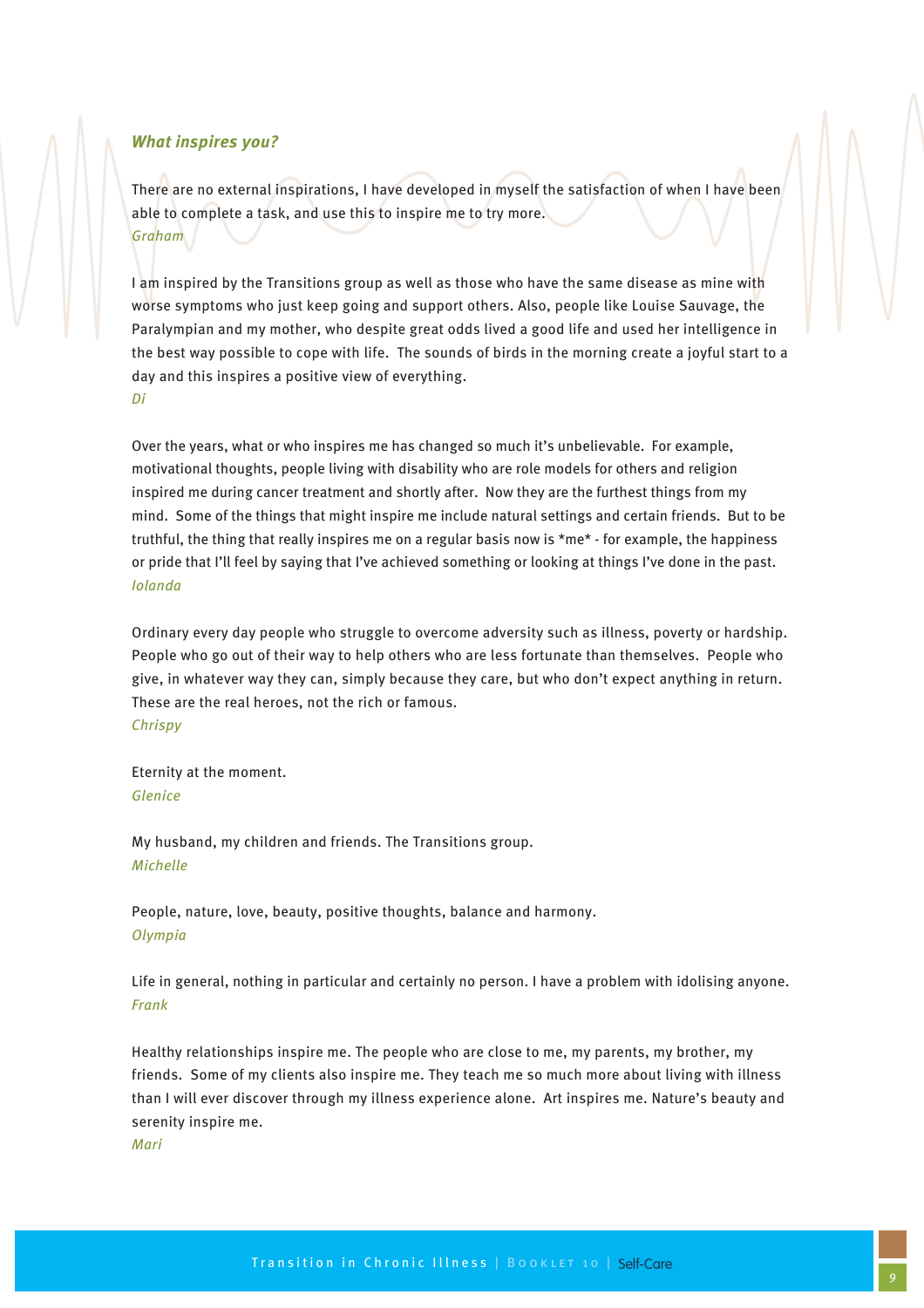# *What inspires you?*

There are no external inspirations, I have developed in myself the satisfaction of when I have been able to complete a task, and use this to inspire me to try more. *Graham*

I am inspired by the Transitions group as well as those who have the same disease as mine with worse symptoms who just keep going and support others. Also, people like Louise Sauvage, the Paralympian and my mother, who despite great odds lived a good life and used her intelligence in the best way possible to cope with life. The sounds of birds in the morning create a joyful start to a day and this inspires a positive view of everything. *Di*

Over the years, what or who inspires me has changed so much it's unbelievable. For example, motivational thoughts, people living with disability who are role models for others and religion inspired me during cancer treatment and shortly after. Now they are the furthest things from my mind. Some of the things that might inspire me include natural settings and certain friends. But to be truthful, the thing that really inspires me on a regular basis now is \*me\* - for example, the happiness or pride that I'll feel by saying that I've achieved something or looking at things I've done in the past. *Iolanda*

Ordinary every day people who struggle to overcome adversity such as illness, poverty or hardship. People who go out of their way to help others who are less fortunate than themselves. People who give, in whatever way they can, simply because they care, but who don't expect anything in return. These are the real heroes, not the rich or famous. *Chrispy*

Eternity at the moment. *Glenice*

My husband, my children and friends. The Transitions group. *Michelle*

People, nature, love, beauty, positive thoughts, balance and harmony. *Olympia*

Life in general, nothing in particular and certainly no person. I have a problem with idolising anyone. *Frank*

Healthy relationships inspire me. The people who are close to me, my parents, my brother, my friends. Some of my clients also inspire me. They teach me so much more about living with illness than I will ever discover through my illness experience alone. Art inspires me. Nature's beauty and serenity inspire me.

*Mari*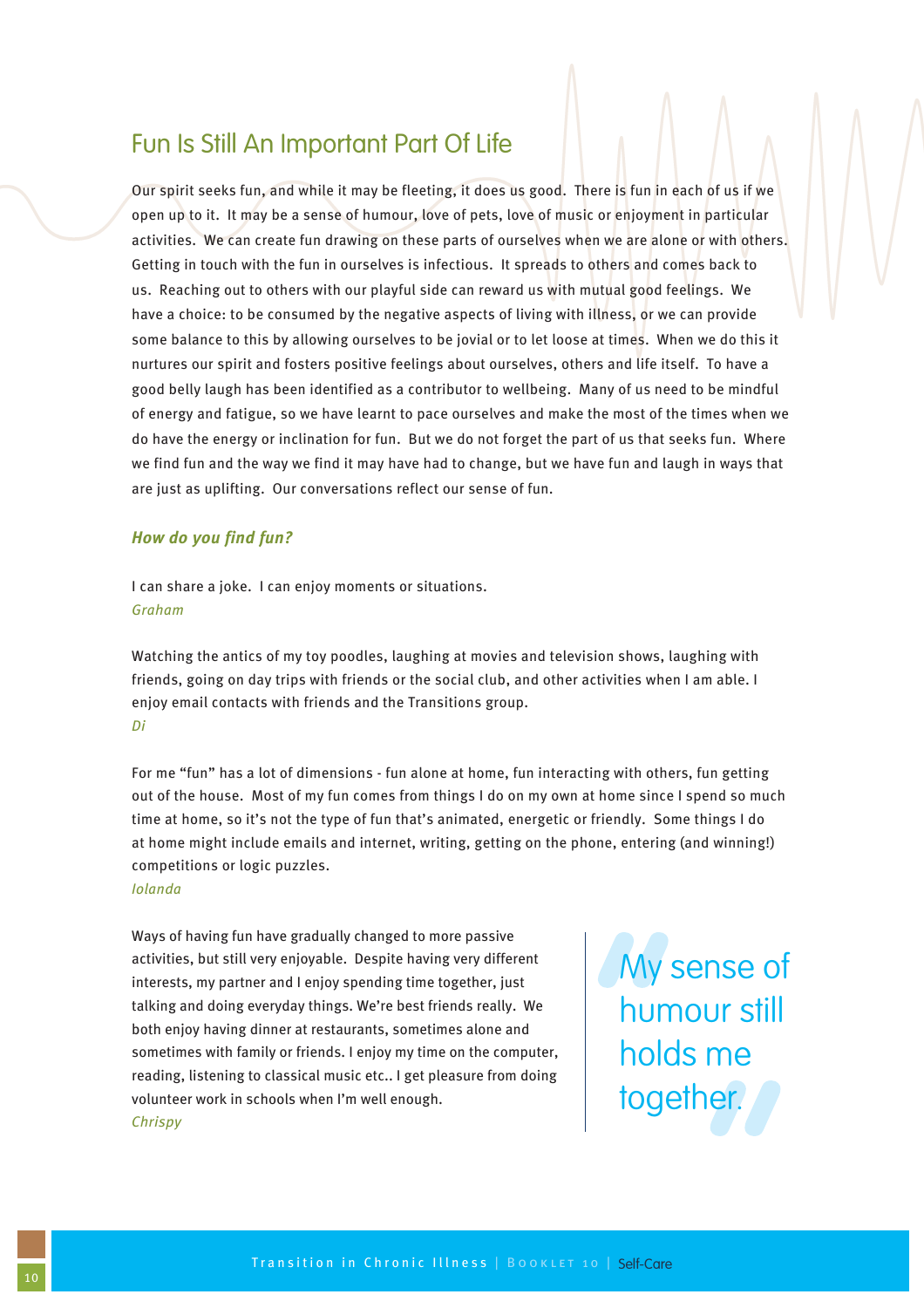# Fun Is Still An Important Part Of Life

Our spirit seeks fun, and while it may be fleeting, it does us good. There is fun in each of us if we open up to it. It may be a sense of humour, love of pets, love of music or enjoyment in particular activities. We can create fun drawing on these parts of ourselves when we are alone or with others. Getting in touch with the fun in ourselves is infectious. It spreads to others and comes back to us. Reaching out to others with our playful side can reward us with mutual good feelings. We have a choice: to be consumed by the negative aspects of living with illness, or we can provide some balance to this by allowing ourselves to be jovial or to let loose at times. When we do this it nurtures our spirit and fosters positive feelings about ourselves, others and life itself. To have a good belly laugh has been identified as a contributor to wellbeing. Many of us need to be mindful of energy and fatigue, so we have learnt to pace ourselves and make the most of the times when we do have the energy or inclination for fun. But we do not forget the part of us that seeks fun. Where we find fun and the way we find it may have had to change, but we have fun and laugh in ways that are just as uplifting. Our conversations reflect our sense of fun.

# *How do you find fun?*

I can share a joke. I can enjoy moments or situations. *Graham*

Watching the antics of my toy poodles, laughing at movies and television shows, laughing with friends, going on day trips with friends or the social club, and other activities when I am able. I enjoy email contacts with friends and the Transitions group. *Di*

For me "fun" has a lot of dimensions - fun alone at home, fun interacting with others, fun getting out of the house. Most of my fun comes from things I do on my own at home since I spend so much time at home, so it's not the type of fun that's animated, energetic or friendly. Some things I do at home might include emails and internet, writing, getting on the phone, entering (and winning!) competitions or logic puzzles.

#### *Iolanda*

Ways of having fun have gradually changed to more passive activities, but still very enjoyable. Despite having very different interests, my partner and I enjoy spending time together, just talking and doing everyday things. We're best friends really. We both enjoy having dinner at restaurants, sometimes alone and sometimes with family or friends. I enjoy my time on the computer, reading, listening to classical music etc.. I get pleasure from doing volunteer work in schools when I'm well enough. *Chrispy*

My sense of humour still holds me together.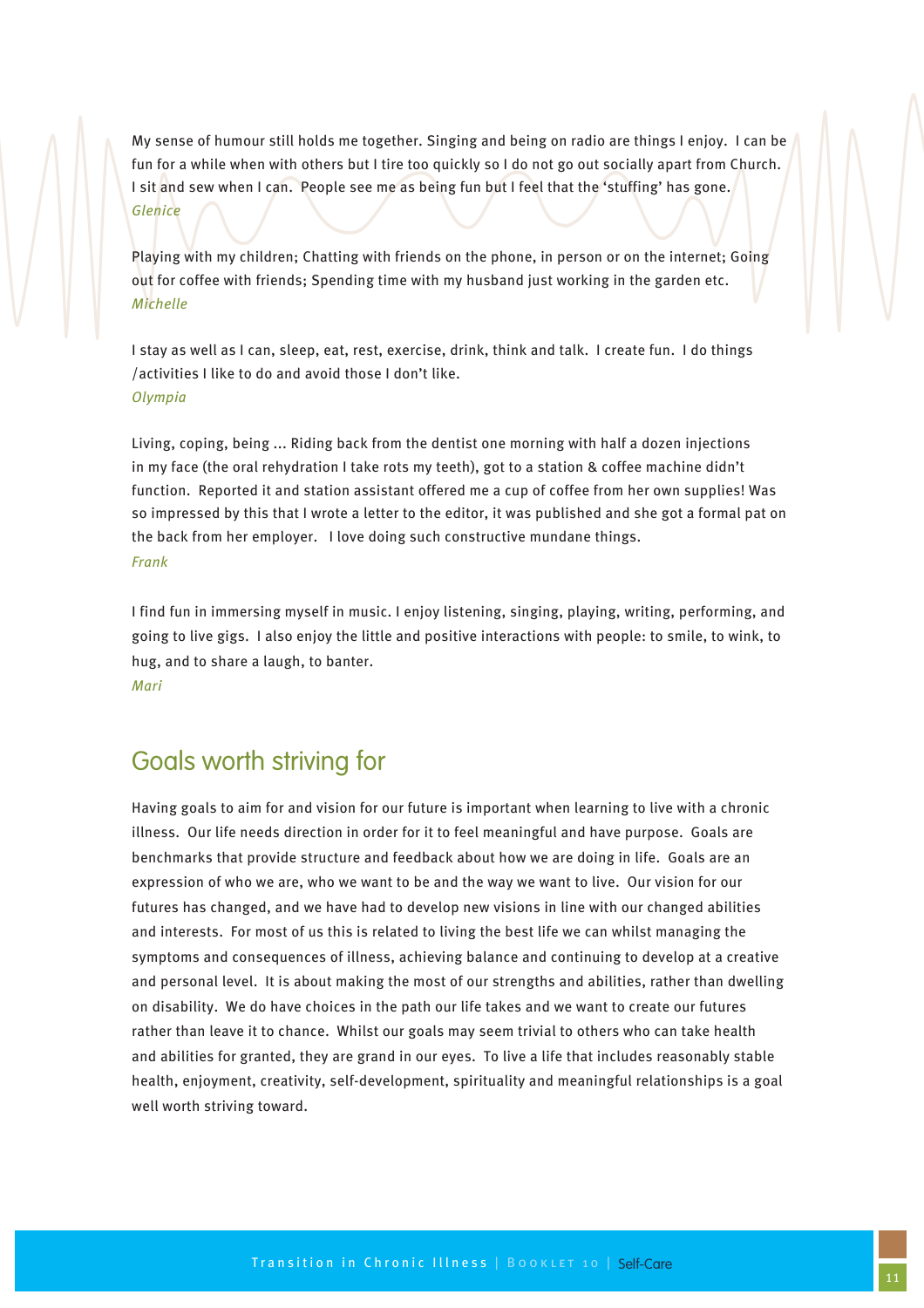My sense of humour still holds me together. Singing and being on radio are things I enjoy. I can be fun for a while when with others but I tire too quickly so I do not go out socially apart from Church. I sit and sew when I can. People see me as being fun but I feel that the 'stuffing' has gone. *Glenice*

Playing with my children; Chatting with friends on the phone, in person or on the internet; Going out for coffee with friends; Spending time with my husband just working in the garden etc. *Michelle*

I stay as well as I can, sleep, eat, rest, exercise, drink, think and talk. I create fun. I do things /activities I like to do and avoid those I don't like. *Olympia*

Living, coping, being ... Riding back from the dentist one morning with half a dozen injections in my face (the oral rehydration I take rots my teeth), got to a station & coffee machine didn't function. Reported it and station assistant offered me a cup of coffee from her own supplies! Was so impressed by this that I wrote a letter to the editor, it was published and she got a formal pat on the back from her employer. I love doing such constructive mundane things.

#### *Frank*

I find fun in immersing myself in music. I enjoy listening, singing, playing, writing, performing, and going to live gigs. I also enjoy the little and positive interactions with people: to smile, to wink, to hug, and to share a laugh, to banter. *Mari*

# Goals worth striving for

Having goals to aim for and vision for our future is important when learning to live with a chronic illness. Our life needs direction in order for it to feel meaningful and have purpose. Goals are benchmarks that provide structure and feedback about how we are doing in life. Goals are an expression of who we are, who we want to be and the way we want to live. Our vision for our futures has changed, and we have had to develop new visions in line with our changed abilities and interests. For most of us this is related to living the best life we can whilst managing the symptoms and consequences of illness, achieving balance and continuing to develop at a creative and personal level. It is about making the most of our strengths and abilities, rather than dwelling on disability. We do have choices in the path our life takes and we want to create our futures rather than leave it to chance. Whilst our goals may seem trivial to others who can take health and abilities for granted, they are grand in our eyes. To live a life that includes reasonably stable health, enjoyment, creativity, self-development, spirituality and meaningful relationships is a goal well worth striving toward.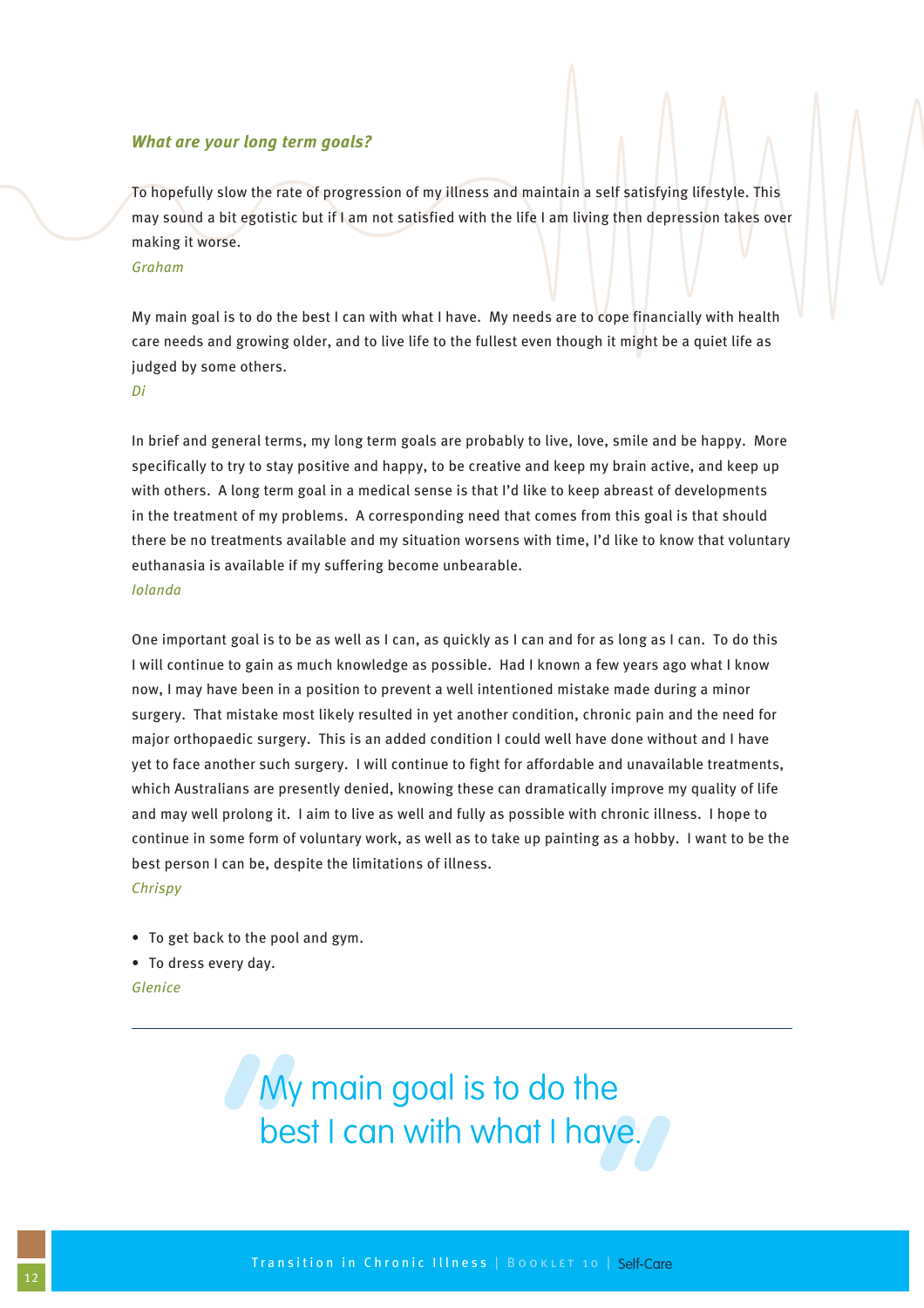#### *What are your long term goals?*

To hopefully slow the rate of progression of my illness and maintain a self satisfying lifestyle. This may sound a bit egotistic but if I am not satisfied with the life I am living then depression takes over making it worse.

*Graham*

My main goal is to do the best I can with what I have. My needs are to cope financially with health care needs and growing older, and to live life to the fullest even though it might be a quiet life as judged by some others.

*Di*

In brief and general terms, my long term goals are probably to live, love, smile and be happy. More specifically to try to stay positive and happy, to be creative and keep my brain active, and keep up with others. A long term goal in a medical sense is that I'd like to keep abreast of developments in the treatment of my problems. A corresponding need that comes from this goal is that should there be no treatments available and my situation worsens with time, I'd like to know that voluntary euthanasia is available if my suffering become unbearable. *Iolanda*

One important goal is to be as well as I can, as quickly as I can and for as long as I can. To do this I will continue to gain as much knowledge as possible. Had I known a few years ago what I know now, I may have been in a position to prevent a well intentioned mistake made during a minor surgery. That mistake most likely resulted in yet another condition, chronic pain and the need for major orthopaedic surgery. This is an added condition I could well have done without and I have yet to face another such surgery. I will continue to fight for affordable and unavailable treatments, which Australians are presently denied, knowing these can dramatically improve my quality of life and may well prolong it. I aim to live as well and fully as possible with chronic illness. I hope to continue in some form of voluntary work, as well as to take up painting as a hobby. I want to be the best person I can be, despite the limitations of illness.

*Chrispy*

- To get back to the pool and gym.
- To dress every day.

*Glenice*

My main goal is to do the best I can with what I have.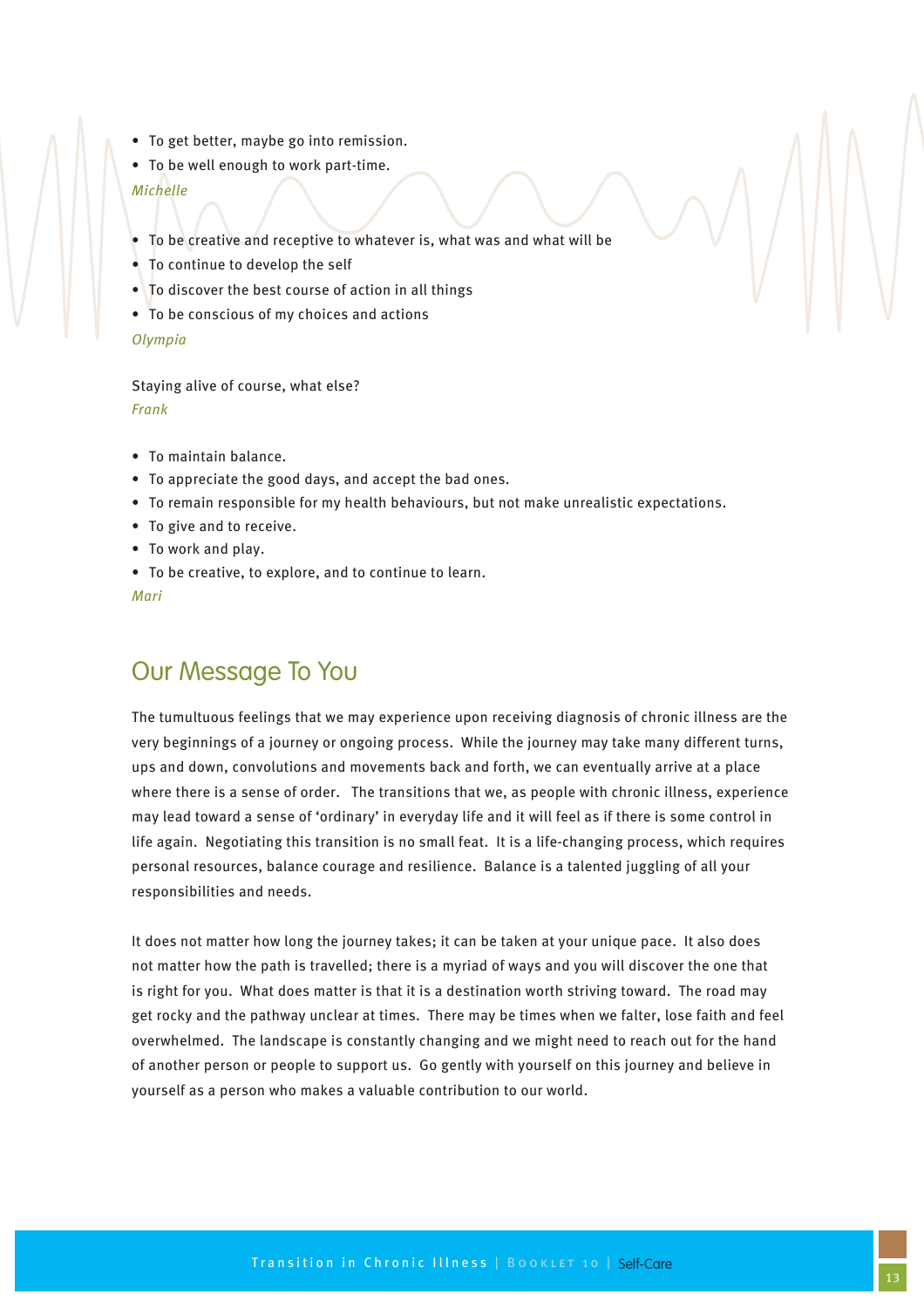- To get better, maybe go into remission.
- To be well enough to work part-time.

## *Michelle*

- To be creative and receptive to whatever is, what was and what will be
- To continue to develop the self
- To discover the best course of action in all things
- To be conscious of my choices and actions

#### *Olympia*

Staying alive of course, what else? *Frank*

- To maintain balance.
- To appreciate the good days, and accept the bad ones.
- To remain responsible for my health behaviours, but not make unrealistic expectations.
- To give and to receive.
- To work and play.
- To be creative, to explore, and to continue to learn.

*Mari*

# Our Message To You

The tumultuous feelings that we may experience upon receiving diagnosis of chronic illness are the very beginnings of a journey or ongoing process. While the journey may take many different turns, ups and down, convolutions and movements back and forth, we can eventually arrive at a place where there is a sense of order. The transitions that we, as people with chronic illness, experience may lead toward a sense of 'ordinary' in everyday life and it will feel as if there is some control in life again. Negotiating this transition is no small feat. It is a life-changing process, which requires personal resources, balance courage and resilience. Balance is a talented juggling of all your responsibilities and needs.

It does not matter how long the journey takes; it can be taken at your unique pace. It also does not matter how the path is travelled; there is a myriad of ways and you will discover the one that is right for you. What does matter is that it is a destination worth striving toward. The road may get rocky and the pathway unclear at times. There may be times when we falter, lose faith and feel overwhelmed. The landscape is constantly changing and we might need to reach out for the hand of another person or people to support us. Go gently with yourself on this journey and believe in yourself as a person who makes a valuable contribution to our world.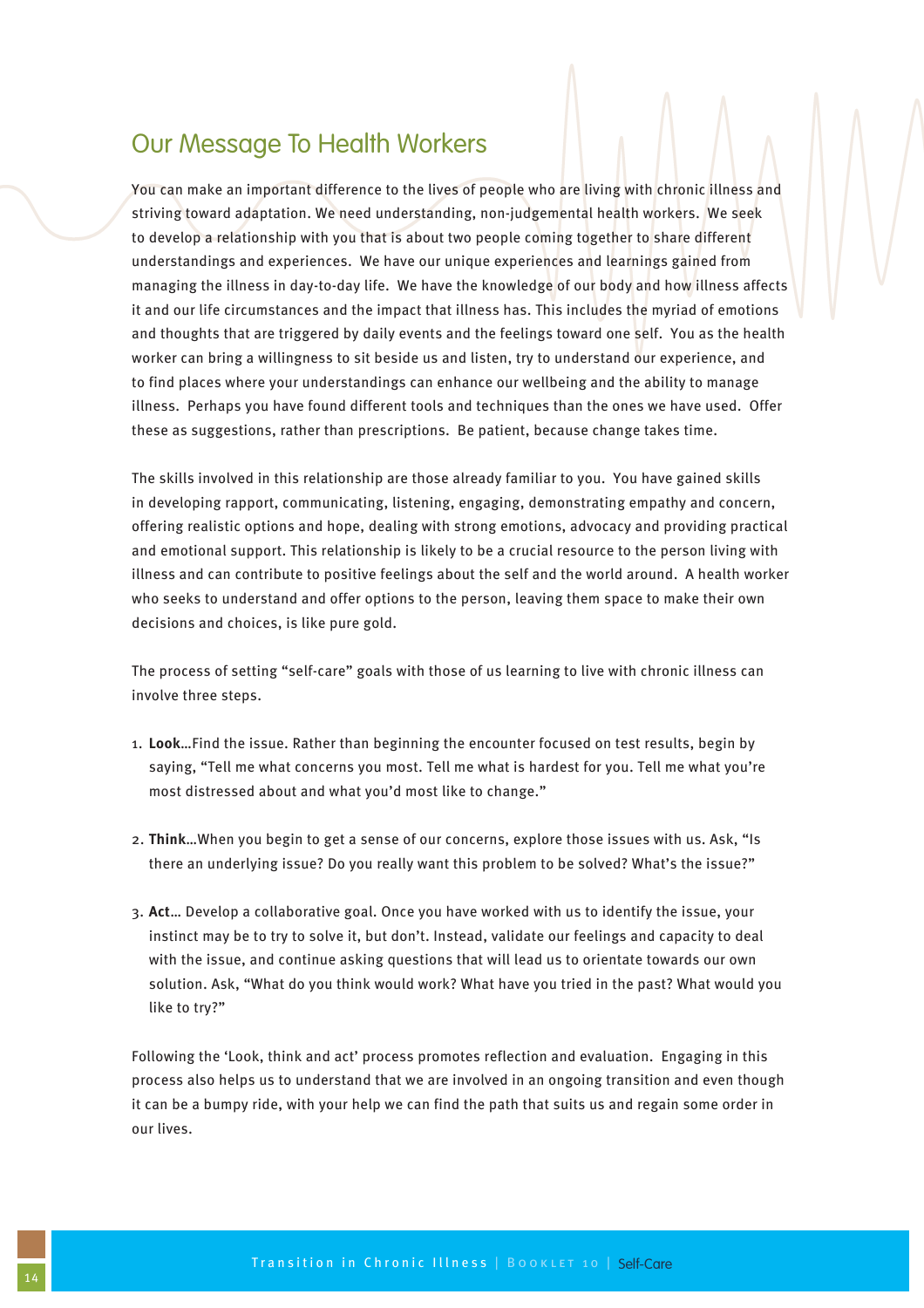# Our Message To Health Workers

You can make an important difference to the lives of people who are living with chronic illness and striving toward adaptation. We need understanding, non-judgemental health workers. We seek to develop a relationship with you that is about two people coming together to share different understandings and experiences. We have our unique experiences and learnings gained from managing the illness in day-to-day life. We have the knowledge of our body and how illness affects it and our life circumstances and the impact that illness has. This includes the myriad of emotions and thoughts that are triggered by daily events and the feelings toward one self. You as the health worker can bring a willingness to sit beside us and listen, try to understand our experience, and to find places where your understandings can enhance our wellbeing and the ability to manage illness. Perhaps you have found different tools and techniques than the ones we have used. Offer these as suggestions, rather than prescriptions. Be patient, because change takes time.

The skills involved in this relationship are those already familiar to you. You have gained skills in developing rapport, communicating, listening, engaging, demonstrating empathy and concern, offering realistic options and hope, dealing with strong emotions, advocacy and providing practical and emotional support. This relationship is likely to be a crucial resource to the person living with illness and can contribute to positive feelings about the self and the world around. A health worker who seeks to understand and offer options to the person, leaving them space to make their own decisions and choices, is like pure gold.

The process of setting "self-care" goals with those of us learning to live with chronic illness can involve three steps.

- 1. **Look**…Find the issue. Rather than beginning the encounter focused on test results, begin by saying, "Tell me what concerns you most. Tell me what is hardest for you. Tell me what you're most distressed about and what you'd most like to change."
- 2. **Think**…When you begin to get a sense of our concerns, explore those issues with us. Ask, "Is there an underlying issue? Do you really want this problem to be solved? What's the issue?"
- 3. **Act**… Develop a collaborative goal. Once you have worked with us to identify the issue, your instinct may be to try to solve it, but don't. Instead, validate our feelings and capacity to deal with the issue, and continue asking questions that will lead us to orientate towards our own solution. Ask, "What do you think would work? What have you tried in the past? What would you like to try?"

Following the 'Look, think and act' process promotes reflection and evaluation. Engaging in this process also helps us to understand that we are involved in an ongoing transition and even though it can be a bumpy ride, with your help we can find the path that suits us and regain some order in our lives.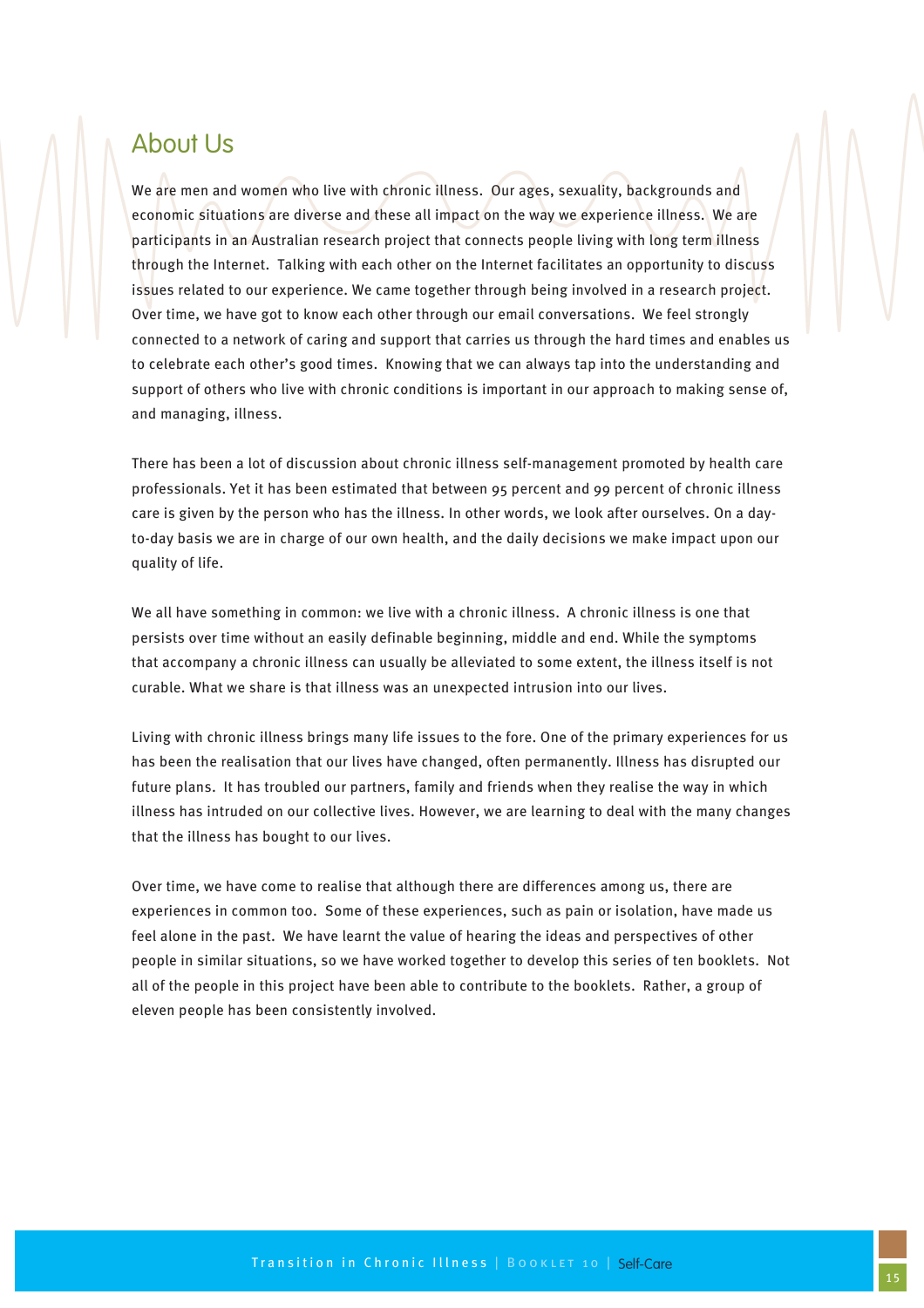# About Us

We are men and women who live with chronic illness. Our ages, sexuality, backgrounds and economic situations are diverse and these all impact on the way we experience illness. We are participants in an Australian research project that connects people living with long term illness through the Internet. Talking with each other on the Internet facilitates an opportunity to discuss issues related to our experience. We came together through being involved in a research project. Over time, we have got to know each other through our email conversations. We feel strongly connected to a network of caring and support that carries us through the hard times and enables us to celebrate each other's good times. Knowing that we can always tap into the understanding and support of others who live with chronic conditions is important in our approach to making sense of, and managing, illness.

There has been a lot of discussion about chronic illness self-management promoted by health care professionals. Yet it has been estimated that between 95 percent and 99 percent of chronic illness care is given by the person who has the illness. In other words, we look after ourselves. On a dayto-day basis we are in charge of our own health, and the daily decisions we make impact upon our quality of life.

We all have something in common: we live with a chronic illness. A chronic illness is one that persists over time without an easily definable beginning, middle and end. While the symptoms that accompany a chronic illness can usually be alleviated to some extent, the illness itself is not curable. What we share is that illness was an unexpected intrusion into our lives.

Living with chronic illness brings many life issues to the fore. One of the primary experiences for us has been the realisation that our lives have changed, often permanently. Illness has disrupted our future plans. It has troubled our partners, family and friends when they realise the way in which illness has intruded on our collective lives. However, we are learning to deal with the many changes that the illness has bought to our lives.

Over time, we have come to realise that although there are differences among us, there are experiences in common too. Some of these experiences, such as pain or isolation, have made us feel alone in the past. We have learnt the value of hearing the ideas and perspectives of other people in similar situations, so we have worked together to develop this series of ten booklets. Not all of the people in this project have been able to contribute to the booklets. Rather, a group of eleven people has been consistently involved.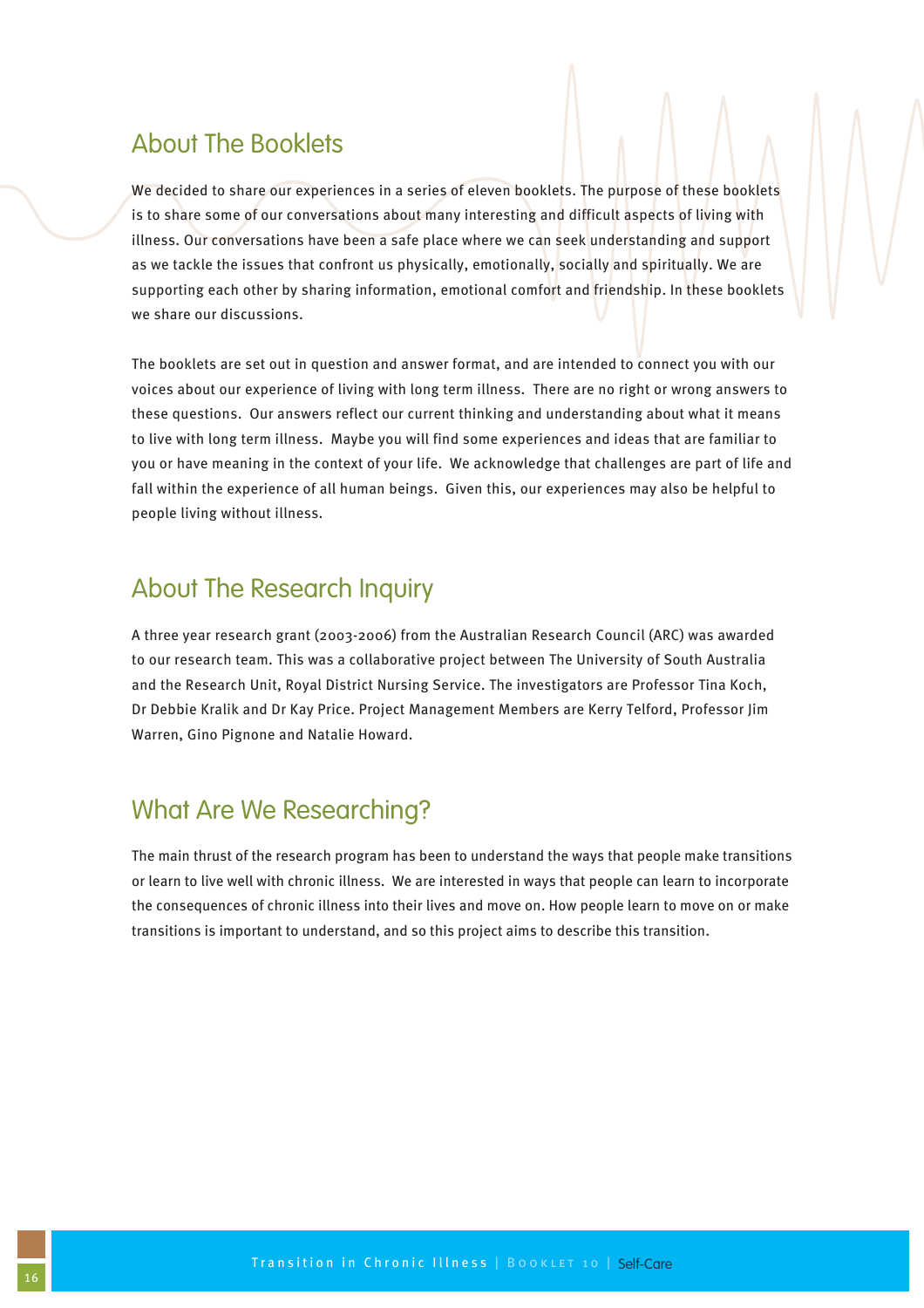# About The Booklets

We decided to share our experiences in a series of eleven booklets. The purpose of these booklets is to share some of our conversations about many interesting and difficult aspects of living with illness. Our conversations have been a safe place where we can seek understanding and support as we tackle the issues that confront us physically, emotionally, socially and spiritually. We are supporting each other by sharing information, emotional comfort and friendship. In these booklets we share our discussions.

The booklets are set out in question and answer format, and are intended to connect you with our voices about our experience of living with long term illness. There are no right or wrong answers to these questions. Our answers reflect our current thinking and understanding about what it means to live with long term illness. Maybe you will find some experiences and ideas that are familiar to you or have meaning in the context of your life. We acknowledge that challenges are part of life and fall within the experience of all human beings. Given this, our experiences may also be helpful to people living without illness.

# About The Research Inquiry

A three year research grant (2003-2006) from the Australian Research Council (ARC) was awarded to our research team. This was a collaborative project between The University of South Australia and the Research Unit, Royal District Nursing Service. The investigators are Professor Tina Koch, Dr Debbie Kralik and Dr Kay Price. Project Management Members are Kerry Telford, Professor Jim Warren, Gino Pignone and Natalie Howard.

# What Are We Researching?

The main thrust of the research program has been to understand the ways that people make transitions or learn to live well with chronic illness. We are interested in ways that people can learn to incorporate the consequences of chronic illness into their lives and move on. How people learn to move on or make transitions is important to understand, and so this project aims to describe this transition.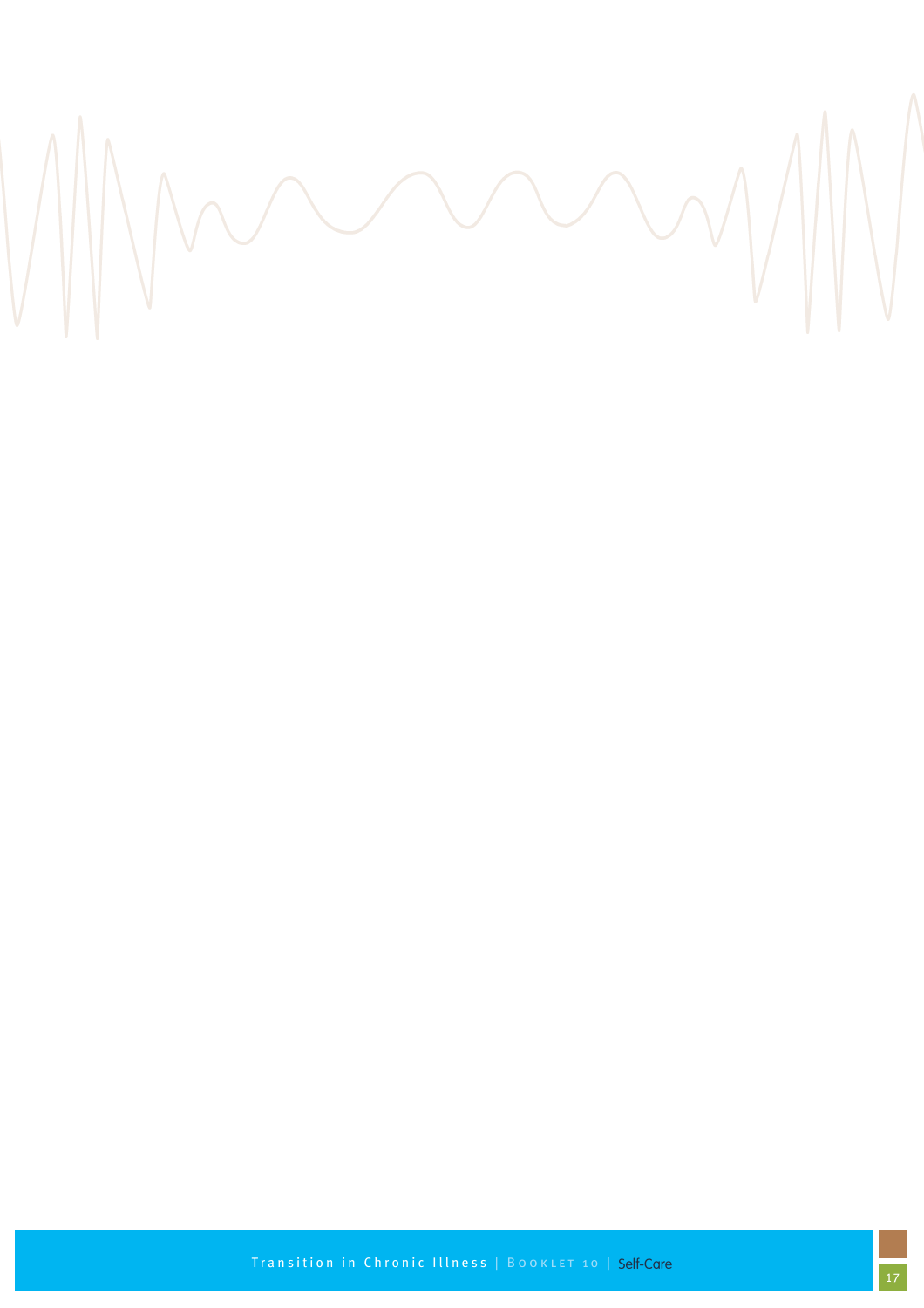

Transition in Chronic Illness | Booklet 10 | Self-Care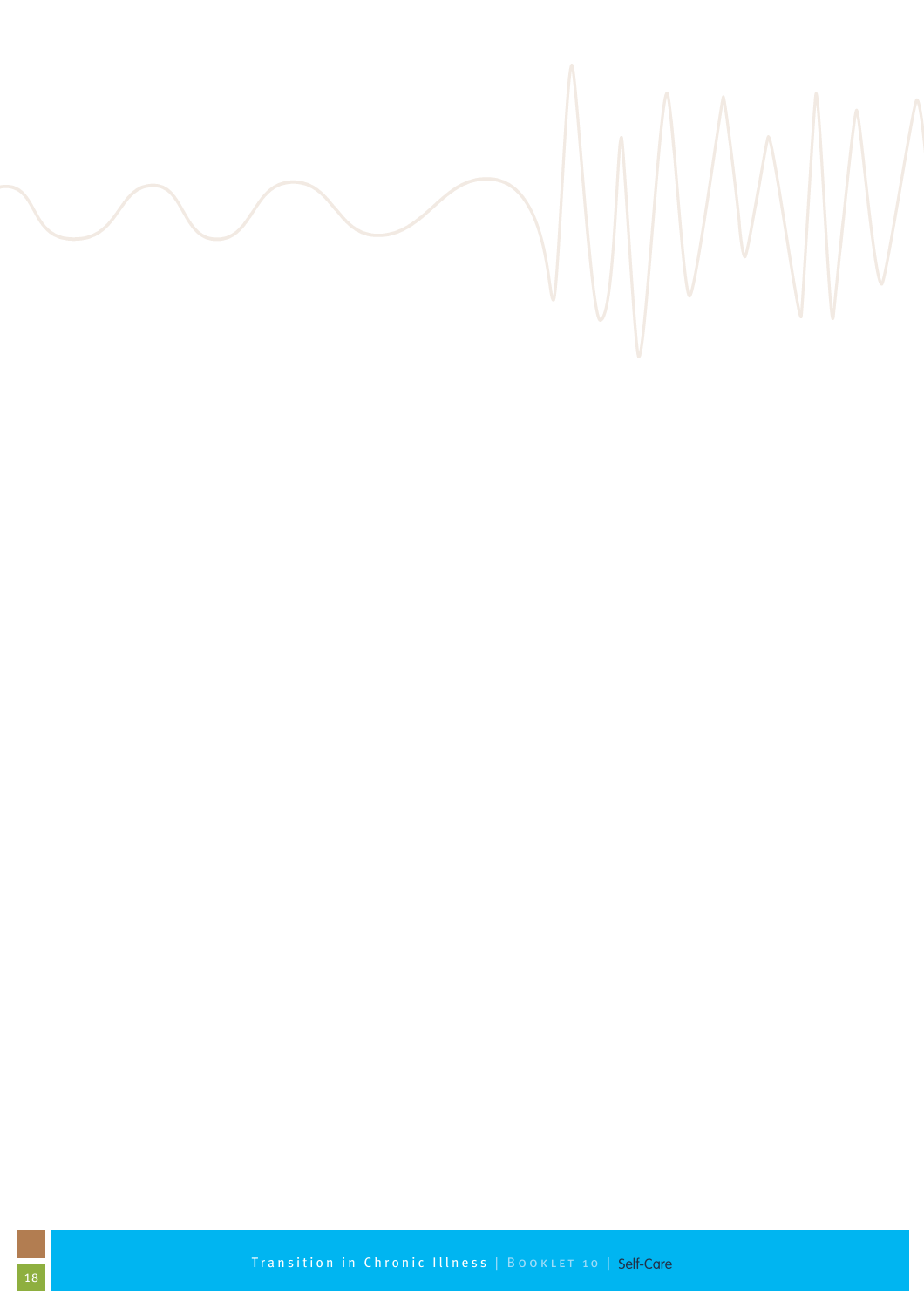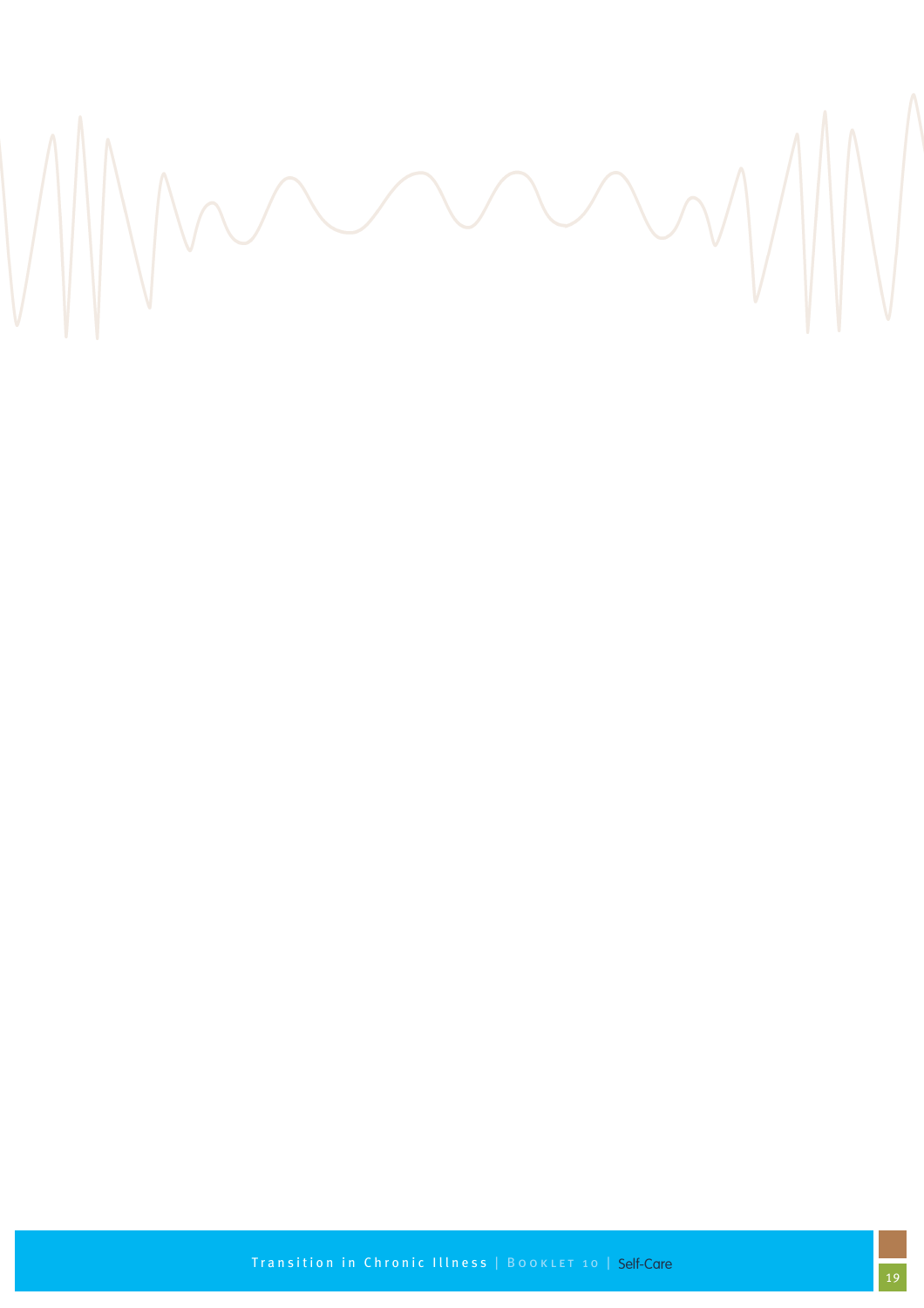

Transition in Chronic Illness | Booklet 10 | Self-Care